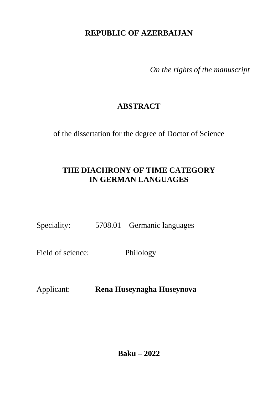## **REPUBLIC OF AZERBAIJAN**

*On the rights of the manuscript*

# **ABSTRACT**

of the dissertation for the degree of Doctor of Science

## **THE DIACHRONY OF TIME CATEGORY IN GERMAN LANGUAGES**

Speciality: 5708.01 – Germanic languages

Field of science: Philology

Applicant: **Rena Huseynagha Huseynova**

**Baku – 2022**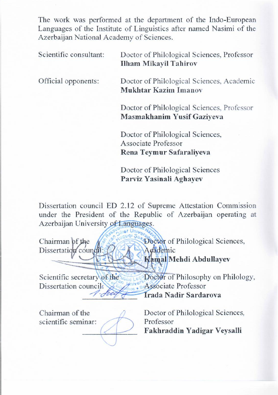The work was performed at the department of the Indo-European Languages of the mstruct of Emgalstics after hamed trasmit of the Languages of the Institute of Lineuville of Lineuville Company of the Institute of the Institute of the Institute of the Institute of the Institute of the Institute of the Institute of the Institute of the Institute of the

Scientific consultant: Doctor of Philological Sciences, Professor Scientific consultant: Doctor of Philological Sciences, Professor Official opponents: **Doctor of Philological Sciences, Academic** Mukhtar Kazim Imanov **Doctor of Philological Sciences, Professor** Masmakhanim Yusif Gaziyeva **Doctor of Philological Sciences,** Associate Professor

Rena Teymur Safaraliyeva

**Doctor of Philological Sciences** Parviz Yasinali Aghayev

under the President of the Republic of Azerbaijan operating at Azerbaijan University of Languages.

Doctor of Philological Sciences, Chairman of the Doctor of<br>Dissertation council: O Chairman of the Kamal Mehdi Abdullayev

Dissertation council:  $\frac{\sec$ recary or the  $v_{\text{0}}$  $\frac{1}{\sqrt{2}}$ **Kamal Medicine** Mehrland Abdullah Abdullah Abdullah Abdullah Abdullah Abdullah Abdullah Abdullah Abdullah Abdullah Abdullah Abdullah Abdullah Abdullah Abdullah Abdullah Abdullah Abdullah Abdullah Abdullah Abdullah Abdulla  $\overline{\phantom{a}}$ Irada Nadir Sardarova

Chairman of the scientific seminar:  $D_{\text{total}}$   $CD1.1.1$ **Doctor** of Finological

Fakhraddin Yadigar Veysalli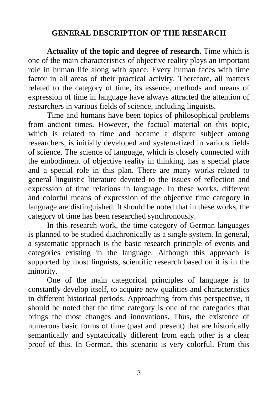### **GENERAL DESCRIPTION OF THE RESEARCH**

**Actuality of the topic and degree of research.** Time which is one of the main characteristics of objective reality plays an important role in human life along with space. Every human faces with time factor in all areas of their practical activity. Therefore, all matters related to the category of time, its essence, methods and means of expression of time in language have always attracted the attention of researchers in various fields of science, including linguists.

Time and humans have been topics of philosophical problems from ancient times. However, the factual material on this topic, which is related to time and became a dispute subject among researchers, is initially developed and systematized in various fields of science. The science of language, which is closely connected with the embodiment of objective reality in thinking, has a special place and a special role in this plan. There are many works related to general linguistic literature devoted to the issues of reflection and expression of time relations in language. In these works, different and colorful means of expression of the objective time category in language are distinguished. It should be noted that in these works, the category of time has been researched synchronously.

In this research work, the time category of German languages is planned to be studied diachronically as a single system. In general, a systematic approach is the basic research principle of events and categories existing in the language. Although this approach is supported by most linguists, scientific research based on it is in the minority.

One of the main categorical principles of language is to constantly develop itself, to acquire new qualities and characteristics in different historical periods. Approaching from this perspective, it should be noted that the time category is one of the categories that brings the most changes and innovations. Thus, the existence of numerous basic forms of time (past and present) that are historically semantically and syntactically different from each other is a clear proof of this. In German, this scenario is very colorful. From this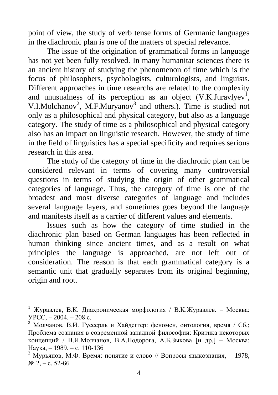point of view, the study of verb tense forms of Germanic languages in the diachronic plan is one of the matters of special relevance.

The issue of the origination of grammatical forms in language has not yet been fully resolved. In many humanitar sciences there is an ancient history of studying the phenomenon of time which is the focus of philosophers, psychologists, culturologists, and linguists. Different approaches in time researchs are related to the complexity and unusualness of its perception as an object  $(V.K.Juravlyev<sup>1</sup>$ , V.I.Molchanov<sup>2</sup>, M.F.Muryanov<sup>3</sup> and others.). Time is studied not only as a philosophical and physical category, but also as a language category. The study of time as a philosophical and physical category also has an impact on linguistic research. However, the study of time in the field of linguistics has a special specificity and requires serious research in this area.

The study of the category of time in the diachronic plan can be considered relevant in terms of covering many controversial questions in terms of studying the origin of other grammatical categories of language. Thus, the category of time is one of the broadest and most diverse categories of language and includes several language layers, and sometimes goes beyond the language and manifests itself as a carrier of different values and elements.

Issues such as how the category of time studied in the diachronic plan based on German languages has been reflected in human thinking since ancient times, and as a result on what principles the language is approached, are not left out of consideration. The reason is that each grammatical category is a semantic unit that gradually separates from its original beginning, origin and root.

<sup>&</sup>lt;sup>1</sup> Журавлев, В.К. Диахроническая морфология / В.К.Журавлев. – Москва: УРСС, – 2004. – 208 с.

<sup>&</sup>lt;sup>2</sup> Молчанов. В.И. Гуссерль и Хайдеггер: феномен, онтология, время / Сб.; Проблема сознания в современной западной философии: Критика некоторых концепций / В.И.Молчанов, В.А.Подорога, А.Б.Зыкова [и др.] – Москва: Наука, – 1989. – c. 110-136

<sup>&</sup>lt;sup>3</sup> Мурьянов, М.Ф. Время: понятие и слово // Вопросы языкознания, - 1978, № 2, – с. 52-66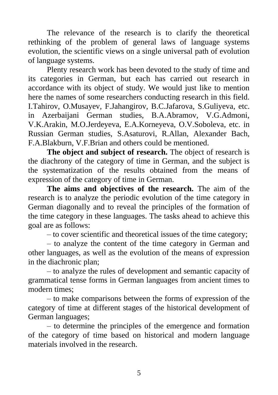The relevance of the research is to clarify the theoretical rethinking of the problem of general laws of language systems evolution, the scientific views on a single universal path of evolution of language systems.

Plenty research work has been devoted to the study of time and its categories in German, but each has carried out research in accordance with its object of study. We would just like to mention here the names of some researchers conducting research in this field. I.Tahirov, O.Musayev, F.Jahangirov, B.C.Jafarova, S.Guliyeva, etc. in Azerbaijani German studies, B.A.Abramov, V.G.Admoni, V.K.Arakin, M.O.Jerdeyeva, E.A.Korneyeva, O.V.Soboleva, etc. in Russian German studies, S.Asaturovi, R.Allan, Alexander Bach, F.A.Blakburn, V.F.Brian and others could be mentioned.

**The object and subject of research.** The object of research is the diachrony of the category of time in German, and the subject is the systematization of the results obtained from the means of expression of the category of time in German.

**The aims and objectives of the research.** The aim of the research is to analyze the periodic evolution of the time category in German diagonally and to reveal the principles of the formation of the time category in these languages. The tasks ahead to achieve this goal are as follows:

– to cover scientific and theoretical issues of the time category;

– to analyze the content of the time category in German and other languages, as well as the evolution of the means of expression in the diachronic plan;

– to analyze the rules of development and semantic capacity of grammatical tense forms in German languages from ancient times to modern times;

– to make comparisons between the forms of expression of the category of time at different stages of the historical development of German languages;

– to determine the principles of the emergence and formation of the category of time based on historical and modern language materials involved in the research.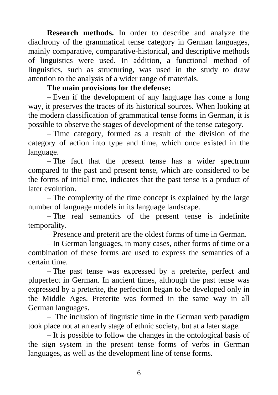**Research methods.** In order to describe and analyze the diachrony of the grammatical tense category in German languages, mainly comparative, comparative-historical, and descriptive methods of linguistics were used. In addition, a functional method of linguistics, such as structuring, was used in the study to draw attention to the analysis of a wider range of materials.

#### **The main provisions for the defense:**

– Even if the development of any language has come a long way, it preserves the traces of its historical sources. When looking at the modern classification of grammatical tense forms in German, it is possible to observe the stages of development of the tense category.

– Time category, formed as a result of the division of the category of action into type and time, which once existed in the language.

– The fact that the present tense has a wider spectrum compared to the past and present tense, which are considered to be the forms of initial time, indicates that the past tense is a product of later evolution.

– The complexity of the time concept is explained by the large number of language models in its language landscape.

– The real semantics of the present tense is indefinite temporality.

– Presence and preterit are the oldest forms of time in German.

– In German languages, in many cases, other forms of time or a combination of these forms are used to express the semantics of a certain time.

– The past tense was expressed by a preterite, perfect and pluperfect in German. In ancient times, although the past tense was expressed by a preterite, the perfection began to be developed only in the Middle Ages. Preterite was formed in the same way in all German languages.

– The inclusion of linguistic time in the German verb paradigm took place not at an early stage of ethnic society, but at a later stage.

– It is possible to follow the changes in the ontological basis of the sign system in the present tense forms of verbs in German languages, as well as the development line of tense forms.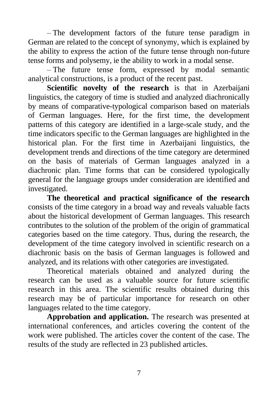– The development factors of the future tense paradigm in German are related to the concept of synonymy, which is explained by the ability to express the action of the future tense through non-future tense forms and polysemy, ie the ability to work in a modal sense.

– The future tense form, expressed by modal semantic analytical constructions, is a product of the recent past.

**Scientific novelty of the research** is that in Azerbaijani linguistics, the category of time is studied and analyzed diachronically by means of comparative-typological comparison based on materials of German languages. Here, for the first time, the development patterns of this category are identified in a large-scale study, and the time indicators specific to the German languages are highlighted in the historical plan. For the first time in Azerbaijani linguistics, the development trends and directions of the time category are determined on the basis of materials of German languages analyzed in a diachronic plan. Time forms that can be considered typologically general for the language groups under consideration are identified and investigated.

**The theoretical and practical significance of the research** consists of the time category in a broad way and reveals valuable facts about the historical development of German languages. This research contributes to the solution of the problem of the origin of grammatical categories based on the time category. Thus, during the research, the development of the time category involved in scientific research on a diachronic basis on the basis of German languages is followed and analyzed, and its relations with other categories are investigated.

Theoretical materials obtained and analyzed during the research can be used as a valuable source for future scientific research in this area. The scientific results obtained during this research may be of particular importance for research on other languages related to the time category.

**Approbation and application.** The research was presented at international conferences, and articles covering the content of the work were published. The articles cover the content of the case. The results of the study are reflected in 23 published articles.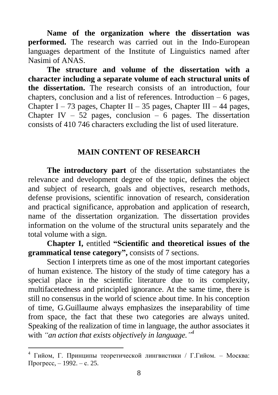**Name of the organization where the dissertation was performed.** The research was carried out in the Indo-European languages department of the Institute of Linguistics named after Nasimi of ANAS.

**The structure and volume of the dissertation with a character including a separate volume of each structural units of the dissertation.** The research consists of an introduction, four chapters, conclusion and a list of references. Introduction – 6 pages, Chapter I – 73 pages, Chapter II – 35 pages, Chapter III – 44 pages, Chapter IV – 52 pages, conclusion – 6 pages. The dissertation consists of 410 746 characters excluding the list of used literature.

#### **MAIN CONTENT OF RESEARCH**

**The introductory part** of the dissertation substantiates the relevance and development degree of the topic, defines the object and subject of research, goals and objectives, research methods, defense provisions, scientific innovation of research, consideration and practical significance, approbation and application of research, name of the dissertation organization. The dissertation provides information on the volume of the structural units separately and the total volume with a sign.

**Chapter I,** entitled **"Scientific and theoretical issues of the grammatical tense category",** consists of 7 sections.

Section I interprets time as one of the most important categories of human existence. The history of the study of time category has a special place in the scientific literature due to its complexity, multifacetedness and principled ignorance. At the same time, there is still no consensus in the world of science about time. In his conception of time, G.Guillaume always emphasizes the inseparability of time from space, the fact that these two categories are always united. Speaking of the realization of time in language, the author associates it with *"an action that exists objectively in language." 4*

<sup>4</sup> Гийом, Г. Принципы теоретической лингвистики / Г.Гийом. – Москва: Прогресс, – 1992. – с. 25.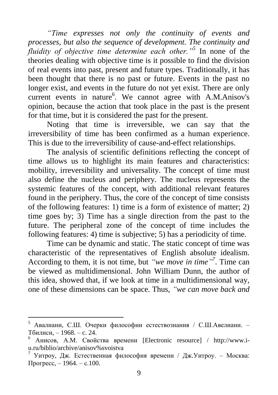*"Time expresses not only the continuity of events and processes, but also the sequence of development. The continuity and fluidity of objective time determine each other."<sup>5</sup>* In none of the theories dealing with objective time is it possible to find the division of real events into past, present and future types. Traditionally, it has been thought that there is no past or future. Events in the past no longer exist, and events in the future do not yet exist. There are only current events in nature<sup>6</sup>. We cannot agree with A.M.Anisov's opinion, because the action that took place in the past is the present for that time, but it is considered the past for the present.

Noting that time is irreversible, we can say that the irreversibility of time has been confirmed as a human experience. This is due to the irreversibility of cause-and-effect relationships.

The analysis of scientific definitions reflecting the concept of time allows us to highlight its main features and characteristics: mobility, irreversibility and universality. The concept of time must also define the nucleus and periphery. The nucleus represents the systemic features of the concept, with additional relevant features found in the periphery. Thus, the core of the concept of time consists of the following features: 1) time is a form of existence of matter; 2) time goes by; 3) Time has a single direction from the past to the future. The peripheral zone of the concept of time includes the following features: 4) time is subjective; 5) has a periodicity of time.

Time can be dynamic and static. The static concept of time was characteristic of the representatives of English absolute idealism. According to them, it is not time, but *"we move in time"*<sup>7</sup>. Time can be viewed as multidimensional. John William Dunn, the author of this idea, showed that, if we look at time in a multidimensional way, one of these dimensions can be space. Thus, *"we can move back and* 

<sup>5</sup> Авалиани, С.Ш. Очерки философии естествознания / С.Ш.Авелиани. – Тбилиси, – 1968. – c. 24.

<sup>6</sup> Анисов, А.М. Свойства времени [Electronic resource] / [http://www.i](http://www.i-u.ru/biblio/archive/anisov%25svoistva)[u.ru/biblio/archive/anisov%svoistva](http://www.i-u.ru/biblio/archive/anisov%25svoistva) 

<sup>7</sup> Уитроу, Дж. Естественная философия времени / Дж.Уитроу. – Москва: Прогресс, – 1964. – с.100.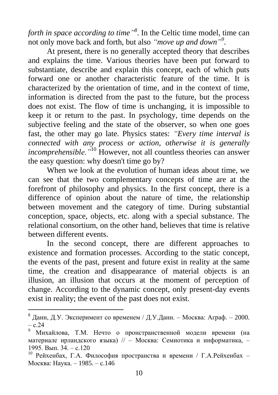*forth in space according to time" 8* . In the Celtic time model, time can not only move back and forth, but also *"move up and down"*.

At present, there is no generally accepted theory that describes and explains the time. Various theories have been put forward to substantiate, describe and explain this concept, each of which puts forward one or another characteristic feature of the time. It is characterized by the orientation of time, and in the context of time, information is directed from the past to the future, but the process does not exist. The flow of time is unchanging, it is impossible to keep it or return to the past. In psychology, time depends on the subjective feeling and the state of the observer, so when one goes fast, the other may go late. Physics states: *"Every time interval is connected with any process or action, otherwise it is generally incomprehensible."*<sup>10</sup> However, not all countless theories can answer the easy question: why doesn't time go by?

When we look at the evolution of human ideas about time, we can see that the two complementary concepts of time are at the forefront of philosophy and physics. In the first concept, there is a difference of opinion about the nature of time, the relationship between movement and the category of time. During substantial conception, space, objects, etc. along with a special substance. The relational consortium, on the other hand, believes that time is relative between different events.

In the second concept, there are different approaches to existence and formation processes. According to the static concept, the events of the past, present and future exist in reality at the same time, the creation and disappearance of material objects is an illusion, an illusion that occurs at the moment of perception of change. According to the dynamic concept, only present-day events exist in reality; the event of the past does not exist.

<sup>&</sup>lt;sup>8</sup> Данн, Д.У. Эксперимент со временем / Д.У.Данн. – Москва: Аграф. – 2000. – с.24

<sup>9</sup> Михайлова, Т.М. Нечто о пронстранственной модели времени (на материале ирландского языка) // – Москва: Семиотика и информатика, – 1995. Вып. 34. – с.120

 $10$  Рейхенбах, Г.А. Философия пространства и времени / Г.А. Рейхенбах – Москва: Наука. – 1985. – с.146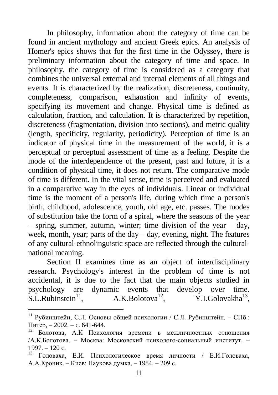In philosophy, information about the category of time can be found in ancient mythology and ancient Greek epics. An analysis of Homer's epics shows that for the first time in the Odyssey, there is preliminary information about the category of time and space. In philosophy, the category of time is considered as a category that combines the universal external and internal elements of all things and events. It is characterized by the realization, discreteness, continuity, completeness, comparison, exhaustion and infinity of events, specifying its movement and change. Physical time is defined as calculation, fraction, and calculation. It is characterized by repetition, discreteness (fragmentation, division into sections), and metric quality (length, specificity, regularity, periodicity). Perception of time is an indicator of physical time in the measurement of the world, it is a perceptual or perceptual assessment of time as a feeling. Despite the mode of the interdependence of the present, past and future, it is a condition of physical time, it does not return. The comparative mode of time is different. In the vital sense, time is perceived and evaluated in a comparative way in the eyes of individuals. Linear or individual time is the moment of a person's life, during which time a person's birth, childhood, adolescence, youth, old age, etc. passes. The modes of substitution take the form of a spiral, where the seasons of the year – spring, summer, autumn, winter; time division of the year – day, week, month, year; parts of the day – day, evening, night. The features of any cultural-ethnolinguistic space are reflected through the culturalnational meaning.

Section II examines time as an object of interdisciplinary research. Psychology's interest in the problem of time is not accidental, it is due to the fact that the main objects studied in psychology are dynamic events that develop over time.<br>S.L.Rubinstein<sup>11</sup>,  $A.K.Bolotova<sup>12</sup>$ , Y.I.Golovakha<sup>13</sup>.  $S.L.Rubinstein<sup>11</sup>$ , Y.I.Golovakha<sup>13</sup>.

<sup>11</sup> Рубинштейн, С.Л. Основы общей психологии / С.Л. Рубинштейн. – СПб.: Питер, – 2002. – с. 641-644.

<sup>12</sup> Болотова, А.К Психология времени в межличностных отношения /А.К.Болотова. – Москва: Московский психолого-социальный институт, –  $1997. - 120$  c.

<sup>13</sup> Головаха, Е.И. Психологическое время личности / Е.И.Головаха, A.A.Кроник. – Киев: Наукова думка, – 1984. – 209 с.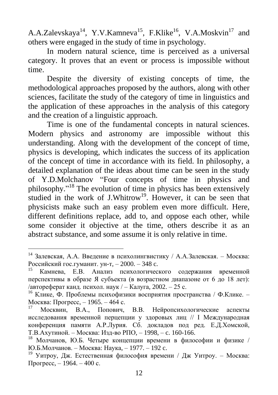A.A.Zalevskaya<sup>14</sup>, Y.V.Kamneva<sup>15</sup>, F.Klike<sup>16</sup>, V.A.Moskvin<sup>17</sup> and others were engaged in the study of time in psychology.

In modern natural science, time is perceived as a universal category. It proves that an event or process is impossible without time.

Despite the diversity of existing concepts of time, the methodological approaches proposed by the authors, along with other sciences, facilitate the study of the category of time in linguistics and the application of these approaches in the analysis of this category and the creation of a linguistic approach.

Time is one of the fundamental concepts in natural sciences. Modern physics and astronomy are impossible without this understanding. Along with the development of the concept of time, physics is developing, which indicates the success of its application of the concept of time in accordance with its field. In philosophy, a detailed explanation of the ideas about time can be seen in the study of Y.D.Molchanov "Four concepts of time in physics and philosophy."<sup>18</sup> The evolution of time in physics has been extensively studied in the work of J.Whitrow<sup>19</sup>. However, it can be seen that physicists make such an easy problem even more difficult. Here, different definitions replace, add to, and oppose each other, while some consider it objective at the time, others describe it as an abstract substance, and some assume it is only relative in time.

 $14$  Залевская, А.А. Введение в психолингвистику / А.А.Залевская. – Москва: Российский гос.гуманит. ун-т, – 2000. – 348 c.

Камнева, Е.В. Анализ психологического содержания временной перспективы в образе Я субъекта (в возрастном диапазоне от 6 до 18 лет): /автореферат канд. психол. наук / – Калуга, 2002. – 25 с.

<sup>16</sup> Клике, Ф. Проблемы психофизики восприятия пространства / Ф.Клике. – Москва: Прогресс, – 1965. – 464 с.<br><sup>17</sup> Мозквин, р. А. Попорци

<sup>17</sup> Москвин, В.А., Попович, В.В. Нейропсихологические аспекты исследования временной перцепции у здоровых лиц // I Международная конференция памяти А.Р.Лурия. Сб. докладов под ред. Е.Д.Хомской, Т.В.Ахутиной. – Москва: Изд-во РПО, – 1998, – c. 160-166.

<sup>18</sup> Молчанов, Ю.Б. Четыре концепции времени в философии и физике / Ю.Б.Молчанов. – Москва: Наука, – 1977. – 192 c.

<sup>&</sup>lt;sup>19</sup> Уитроу, Дж. Естественная философия времени / Дж Уитроу. – Москва: Прогресс, – 1964. – 400 с.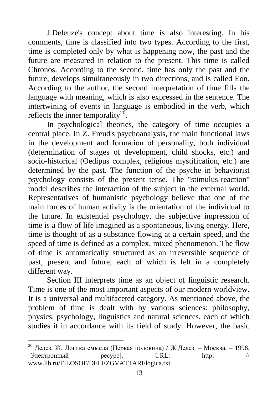J.Deleuze's concept about time is also interesting. In his comments, time is classified into two types. According to the first, time is completed only by what is happening now, the past and the future are measured in relation to the present. This time is called Chronos. According to the second, time has only the past and the future, develops simultaneously in two directions, and is called Eon. According to the author, the second interpretation of time fills the language with meaning, which is also expressed in the sentence. The intertwining of events in language is embodied in the verb, which reflects the inner temporality<sup>20</sup>.

In psychological theories, the category of time occupies a central place. In Z. Freud's psychoanalysis, the main functional laws in the development and formation of personality, both individual (determination of stages of development, child shocks, etc.) and socio-historical (Oedipus complex, religious mystification, etc.) are determined by the past. The function of the psyche in behaviorist psychology consists of the present tense. The "stimulus-reaction" model describes the interaction of the subject in the external world. Representatives of humanistic psychology believe that one of the main forces of human activity is the orientation of the individual to the future. In existential psychology, the subjective impression of time is a flow of life imagined as a spontaneous, living energy. Here, time is thought of as a substance flowing at a certain speed, and the speed of time is defined as a complex, mixed phenomenon. The flow of time is automatically structured as an irreversible sequence of past, present and future, each of which is felt in a completely different way.

Section III interprets time as an object of linguistic research. Time is one of the most important aspects of our modern worldview. It is a universal and multifaceted category. As mentioned above, the problem of time is dealt with by various sciences: philosophy, physics, psychology, linguistics and natural sciences, each of which studies it in accordance with its field of study. However, the basic

<sup>&</sup>lt;sup>20</sup> Делез, Ж. Логика смысла (Первая половина) / Ж.Делез. – Москва, – 1998.  $[3]$ лектронный ресурс]. URL: http: // www.lib.ru/FILOSOF/DELEZGVATTARI/logica.txt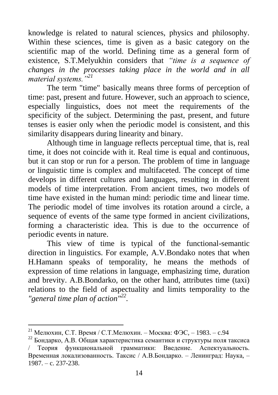knowledge is related to natural sciences, physics and philosophy. Within these sciences, time is given as a basic category on the scientific map of the world. Defining time as a general form of existence, S.T.Melyukhin considers that *"time is a sequence of changes in the processes taking place in the world and in all material systems."<sup>21</sup>*

The term "time" basically means three forms of perception of time: past, present and future. However, such an approach to science, especially linguistics, does not meet the requirements of the specificity of the subject. Determining the past, present, and future tenses is easier only when the periodic model is consistent, and this similarity disappears during linearity and binary.

Although time in language reflects perceptual time, that is, real time, it does not coincide with it. Real time is equal and continuous, but it can stop or run for a person. The problem of time in language or linguistic time is complex and multifaceted. The concept of time develops in different cultures and languages, resulting in different models of time interpretation. From ancient times, two models of time have existed in the human mind: periodic time and linear time. The periodic model of time involves its rotation around a circle, a sequence of events of the same type formed in ancient civilizations, forming a characteristic idea. This is due to the occurrence of periodic events in nature.

This view of time is typical of the functional-semantic direction in linguistics. For example, A.V.Bondako notes that when H.Hamann speaks of temporality, he means the methods of expression of time relations in language, emphasizing time, duration and brevity. A.B.Bondarko, on the other hand, attributes time (taxi) relations to the field of aspectuality and limits temporality to the *"general time plan of action"<sup>22</sup> .*

<sup>&</sup>lt;sup>21</sup> Мелюхин, С.Т. Время / С.Т.Мелюхин. – Москва: ФЭС, – 1983. – с.94

<sup>22</sup> Бондарко, A.B. Общая характеристика семантики и структуры поля таксиса / Теория функциональной грамматики: Введение. Аспектуальность. Временная локализованность. Таксис / А.В.Бондарко. – Ленинград: Наука, – 1987. – c. 237-238.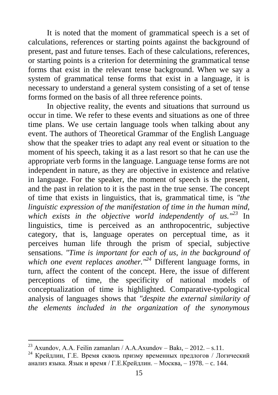It is noted that the moment of grammatical speech is a set of calculations, references or starting points against the background of present, past and future tenses. Each of these calculations, references, or starting points is a criterion for determining the grammatical tense forms that exist in the relevant tense background. When we say a system of grammatical tense forms that exist in a language, it is necessary to understand a general system consisting of a set of tense forms formed on the basis of all three reference points.

In objective reality, the events and situations that surround us occur in time. We refer to these events and situations as one of three time plans. We use certain language tools when talking about any event. The authors of Theoretical Grammar of the English Language show that the speaker tries to adapt any real event or situation to the moment of his speech, taking it as a last resort so that he can use the appropriate verb forms in the language. Language tense forms are not independent in nature, as they are objective in existence and relative in language. For the speaker, the moment of speech is the present, and the past in relation to it is the past in the true sense. The concept of time that exists in linguistics, that is, grammatical time, is *"the linguistic expression of the manifestation of time in the human mind, which exists in the objective world independently of us."<sup>23</sup>* In linguistics, time is perceived as an anthropocentric, subjective category, that is, language operates on perceptual time, as it perceives human life through the prism of special, subjective sensations. *"Time is important for each of us, in the background of which one event replaces another."<sup>24</sup>* Different language forms, in turn, affect the content of the concept. Here, the issue of different perceptions of time, the specificity of national models of conceptualization of time is highlighted. Comparative-typological analysis of languages shows that *"despite the external similarity of the elements included in the organization of the synonymous* 

<sup>&</sup>lt;sup>23</sup> Axundov, A.A. Feilin zamanları / A.A.Axundov – Bakı, – 2012. – s.11.

<sup>24</sup> Крейдлин, Г.Е. Время сквозь призму временных предлогов / Логический анализ языка. Язык и время / Г.Е.Крейдлин. – Москва, – 1978. – c. 144.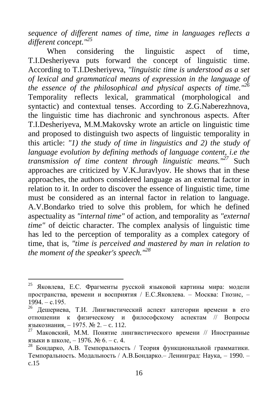*sequence of different names of time, time in languages reflects a different concept."<sup>25</sup>*

When considering the linguistic aspect of time, T.I.Desheriyeva puts forward the concept of linguistic time. According to T.I.Desheriyeva, *"linguistic time is understood as a set of lexical and grammatical means of expression in the language of the essence of the philosophical and physical aspects of time."<sup>26</sup>* Temporality reflects lexical, grammatical (morphological and syntactic) and contextual tenses. According to Z.G.Naberezhnova, the linguistic time has diachronic and synchronous aspects. After T.I.Desheriyeva, M.M.Makovsky wrote an article on linguistic time and proposed to distinguish two aspects of linguistic temporality in this article: *"1) the study of time in linguistics and 2) the study of language evolution by defining methods of language content, i.e the transmission of time content through linguistic means."<sup>27</sup>* Such approaches are criticized by V.K.Juravlyov. He shows that in these approaches, the authors considered language as an external factor in relation to it. In order to discover the essence of linguistic time, time must be considered as an internal factor in relation to language. A.V.Bondarko tried to solve this problem, for which he defined aspectuality as *"internal time"* of action, and temporality as *"external time"* of deictic character. The complex analysis of linguistic time has led to the perception of temporality as a complex category of time, that is, *"time is perceived and mastered by man in relation to the moment of the speaker's speech."<sup>28</sup>*

<sup>25</sup> Яковлева, Е.С. Фрагменты русской языковой картины мира: модели пространства, времени и восприятия / E.C.Яковлева. – Москва: Гнозис, –  $1994 - c.195$ 

<sup>26</sup> Дешериева, Т.И. Лингвистический аспект категории времени в его отношении к физическому и философскому аспектам // Вопросы языкознания, – 1975. № 2. – c. 112.

<sup>&</sup>lt;sup>27</sup> Маковский, М.М. Понятие лингвистического времени // Иностранные языки в школе, – 1976. № 6. – c. 4.

<sup>28</sup> Бондарко, А.В. Темпоральность / Теория функциональной грамматики. Темпоральность. Модальность / А.В.Бондарко.– Ленинград: Наука, – 1990. – c.15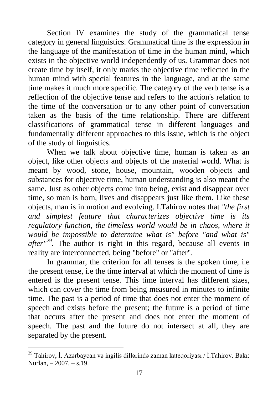Section IV examines the study of the grammatical tense category in general linguistics. Grammatical time is the expression in the language of the manifestation of time in the human mind, which exists in the objective world independently of us. Grammar does not create time by itself, it only marks the objective time reflected in the human mind with special features in the language, and at the same time makes it much more specific. The category of the verb tense is a reflection of the objective tense and refers to the action's relation to the time of the conversation or to any other point of conversation taken as the basis of the time relationship. There are different classifications of grammatical tense in different languages and fundamentally different approaches to this issue, which is the object of the study of linguistics.

When we talk about objective time, human is taken as an object, like other objects and objects of the material world. What is meant by wood, stone, house, mountain, wooden objects and substances for objective time, human understanding is also meant the same. Just as other objects come into being, exist and disappear over time, so man is born, lives and disappears just like them. Like these objects, man is in motion and evolving. I.Tahirov notes that *"the first and simplest feature that characterizes objective time is its regulatory function, the timeless world would be in chaos, where it would be impossible to determine what is" before "and what is" after"<sup>29</sup> .* The author is right in this regard, because all events in reality are interconnected, being "before" or "after".

In grammar, the criterion for all tenses is the spoken time, i.e the present tense, i.e the time interval at which the moment of time is entered is the present tense. This time interval has different sizes, which can cover the time from being measured in minutes to infinite time. The past is a period of time that does not enter the moment of speech and exists before the present; the future is a period of time that occurs after the present and does not enter the moment of speech. The past and the future do not intersect at all, they are separated by the present.

<sup>29</sup> Tahirov, İ. Azərbaycan və ingilis dillərində zaman kateqoriyası / İ.Tahirov. Bakı: Nurlan, – 2007. – s.19.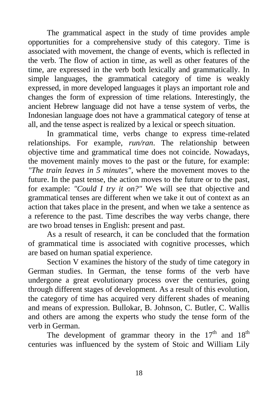The grammatical aspect in the study of time provides ample opportunities for a comprehensive study of this category. Time is associated with movement, the change of events, which is reflected in the verb. The flow of action in time, as well as other features of the time, are expressed in the verb both lexically and grammatically. In simple languages, the grammatical category of time is weakly expressed, in more developed languages it plays an important role and changes the form of expression of time relations. Interestingly, the ancient Hebrew language did not have a tense system of verbs, the Indonesian language does not have a grammatical category of tense at all, and the tense aspect is realized by a lexical or speech situation.

In grammatical time, verbs change to express time-related relationships. For example, *run/ran*. The relationship between objective time and grammatical time does not coincide. Nowadays, the movement mainly moves to the past or the future, for example: *"The train leaves in 5 minutes"*, where the movement moves to the future. In the past tense, the action moves to the future or to the past, for example: *"Could I try it on?"* We will see that objective and grammatical tenses are different when we take it out of context as an action that takes place in the present, and when we take a sentence as a reference to the past. Time describes the way verbs change, there are two broad tenses in English: present and past.

As a result of research, it can be concluded that the formation of grammatical time is associated with cognitive processes, which are based on human spatial experience.

Section V examines the history of the study of time category in German studies. In German, the tense forms of the verb have undergone a great evolutionary process over the centuries, going through different stages of development. As a result of this evolution, the category of time has acquired very different shades of meaning and means of expression. Bullokar, B. Johnson, C. Butler, C. Wallis and others are among the experts who study the tense form of the verb in German.

The development of grammar theory in the  $17<sup>th</sup>$  and  $18<sup>th</sup>$ centuries was influenced by the system of Stoic and William Lily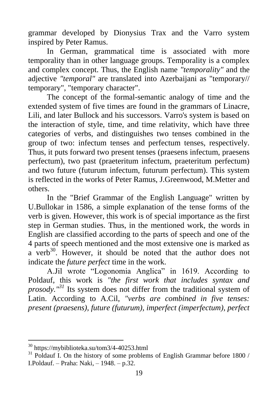grammar developed by Dionysius Trax and the Varro system inspired by Peter Ramus.

In German, grammatical time is associated with more temporality than in other language groups. Temporality is a complex and complex concept. Thus, the English name *"temporality"* and the adjective *"temporal"* are translated into Azerbaijani as "temporary// temporary", "temporary character".

The concept of the formal-semantic analogy of time and the extended system of five times are found in the grammars of Linacre, Lili, and later Bullock and his successors. Varro's system is based on the interaction of style, time, and time relativity, which have three categories of verbs, and distinguishes two tenses combined in the group of two: infectum tenses and perfectum tenses, respectively. Thus, it puts forward two present tenses (praesens infectum, praesens perfectum), two past (praeteritum infectum, praeteritum perfectum) and two future (futurum infectum, futurum perfectum). This system is reflected in the works of Peter Ramus, J.Greenwood, M.Metter and others.

In the "Brief Grammar of the English Language" written by U.Bullokar in 1586, a simple explanation of the tense forms of the verb is given. However, this work is of special importance as the first step in German studies. Thus, in the mentioned work, the words in English are classified according to the parts of speech and one of the 4 parts of speech mentioned and the most extensive one is marked as a verb<sup>30</sup>. However, it should be noted that the author does not indicate the *future perfect* time in the work.

A.Jil wrote "Logonomia Anglica" in 1619. According to Poldauf, this work is *"the first work that includes syntax and prosody."<sup>31</sup>* Its system does not differ from the traditional system of Latin. According to A.Cil, *"verbs are combined in five tenses: present (praesens), future (futurum), imperfect (imperfectum), perfect* 

<sup>30</sup><https://mybiblioteka.su/tom3/4-40253.html>

 $31$  Poldauf I. On the history of some problems of English Grammar before 1800 / I.Poldauf. – Praha: Naki, – 1948. – p.32.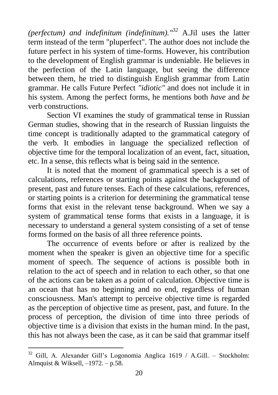*(perfectum) and indefinitum (indefinitum)."<sup>32</sup>* A.Jil uses the latter term instead of the term "pluperfect". The author does not include the future perfect in his system of time-forms. However, his contribution to the development of English grammar is undeniable. He believes in the perfection of the Latin language, but seeing the difference between them, he tried to distinguish English grammar from Latin grammar. He calls Future Perfect *"idiotic"* and does not include it in his system. Among the perfect forms, he mentions both *have* and *be* verb constructions.

Section VI examines the study of grammatical tense in Russian German studies, showing that in the research of Russian linguists the time concept is traditionally adapted to the grammatical category of the verb. It embodies in language the specialized reflection of objective time for the temporal localization of an event, fact, situation, etc. In a sense, this reflects what is being said in the sentence.

It is noted that the moment of grammatical speech is a set of calculations, references or starting points against the background of present, past and future tenses. Each of these calculations, references, or starting points is a criterion for determining the grammatical tense forms that exist in the relevant tense background. When we say a system of grammatical tense forms that exists in a language, it is necessary to understand a general system consisting of a set of tense forms formed on the basis of all three reference points.

The occurrence of events before or after is realized by the moment when the speaker is given an objective time for a specific moment of speech. The sequence of actions is possible both in relation to the act of speech and in relation to each other, so that one of the actions can be taken as a point of calculation. Objective time is an ocean that has no beginning and no end, regardless of human consciousness. Man's attempt to perceive objective time is regarded as the perception of objective time as present, past, and future. In the process of perception, the division of time into three periods of objective time is a division that exists in the human mind. In the past, this has not always been the case, as it can be said that grammar itself

 $32$  Gill, A. Alexander Gill's Logonomia Anglica 1619 / A.Gill. – Stockholm: Almquist & Wiksell, –1972. – p.58.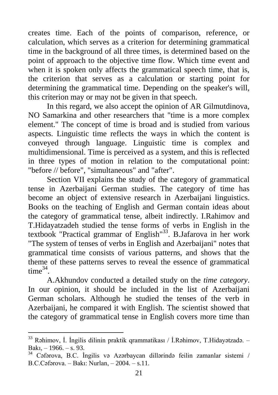creates time. Each of the points of comparison, reference, or calculation, which serves as a criterion for determining grammatical time in the background of all three times, is determined based on the point of approach to the objective time flow. Which time event and when it is spoken only affects the grammatical speech time, that is, the criterion that serves as a calculation or starting point for determining the grammatical time. Depending on the speaker's will, this criterion may or may not be given in that speech.

In this regard, we also accept the opinion of AR Gilmutdinova, NO Samarkina and other researchers that "time is a more complex element." The concept of time is broad and is studied from various aspects. Linguistic time reflects the ways in which the content is conveyed through language. Linguistic time is complex and multidimensional. Time is perceived as a system, and this is reflected in three types of motion in relation to the computational point: "before // before", "simultaneous" and "after".

Section VII explains the study of the category of grammatical tense in Azerbaijani German studies. The category of time has become an object of extensive research in Azerbaijani linguistics. Books on the teaching of English and German contain ideas about the category of grammatical tense, albeit indirectly. I.Rahimov and T.Hidayatzadeh studied the tense forms of verbs in English in the textbook "Practical grammar of English" $^{33}$ . B.Jafarova in her work "The system of tenses of verbs in English and Azerbaijani" notes that grammatical time consists of various patterns, and shows that the theme of these patterns serves to reveal the essence of grammatical  $time^{34}$ .

A.Akhundov conducted a detailed study on the *time category*. In our opinion, it should be included in the list of Azerbaijani German scholars. Although he studied the tenses of the verb in Azerbaijani, he compared it with English. The scientist showed that the category of grammatical tense in English covers more time than

<sup>33</sup> Rəhimov, İ. İngilis dilinin praktik qrammatikası / İ.Rəhimov, T.Hidayətzadə. – Bakı, – 1966. – s. 93.

<sup>34</sup> Cəfərova, B.C. İngilis və Azərbaycan dillərində feilin zamanlar sistemi / B.C.Cəfərova. – Bakı: Nurlan, – 2004. – s.11.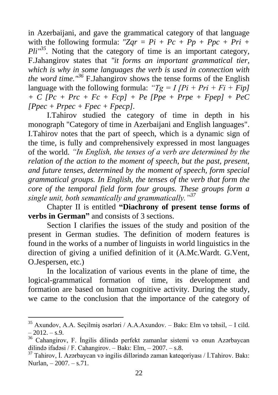in Azerbaijani, and gave the grammatical category of that language with the following formula:  $"Zqr = Pi + Pc + Pp + Ppc + Pri + I$  $Pli''^{35}$ . Noting that the category of time is an important category, F.Jahangirov states that *"it forms an important grammatical tier, which is why in some languages the verb is used in connection with the word time."<sup>36</sup>* F.Jahangirov shows the tense forms of the English language with the following formula:  $Tg = I/Pi + Pri + Fi + Fip$ *+ C [Pc + Prc + Fc + Fcp] + Pe [Ppe + Prpe + Fpep] + PeC*   $[Ppec + Pprec + Fpec + Fpec].$ 

I.Tahirov studied the category of time in depth in his monograph "Category of time in Azerbaijani and English languages". I.Tahirov notes that the part of speech, which is a dynamic sign of the time, is fully and comprehensively expressed in most languages of the world. *"In English, the tenses of a verb are determined by the relation of the action to the moment of speech, but the past, present, and future tenses, determined by the moment of speech, form special grammatical groups. In English, the tenses of the verb that form the core of the temporal field form four groups. These groups form a single unit, both semantically and grammatically."<sup>37</sup>*

Chapter II is entitled **"Diachrony of present tense forms of verbs in German"** and consists of 3 sections.

Section I clarifies the issues of the study and position of the present in German studies. The definition of modern features is found in the works of a number of linguists in world linguistics in the direction of giving a unified definition of it (A.Mc.Wardt. G.Vent, O.Jespersen, etc.)

In the localization of various events in the plane of time, the logical-grammatical formation of time, its development and formation are based on human cognitive activity. During the study, we came to the conclusion that the importance of the category of

 $35$  Axundov, A.A. Seçilmiş əsərləri / A.A.Axundov. – Bakı: Elm və təhsil, – I cild.  $-2012 - s.9$ .

<sup>36</sup> Cahangirov, F. İngilis dilində perfekt zamanlar sistemi və onun Azərbaycan dilində ifadəsi / F. Cahangirov. – Bakı: Elm, – 2007. – s.8.

<sup>37</sup> Tahirov, İ. Azərbaycan və ingilis dillərində zaman kateqoriyası / İ.Tahirov. Bakı: Nurlan, – 2007. – s.71.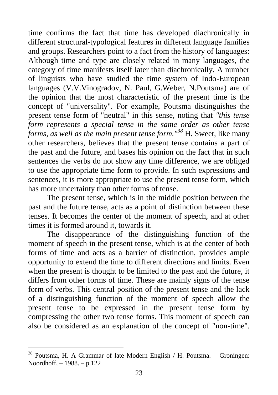time confirms the fact that time has developed diachronically in different structural-typological features in different language families and groups. Researchers point to a fact from the history of languages: Although time and type are closely related in many languages, the category of time manifests itself later than diachronically. A number of linguists who have studied the time system of Indo-European languages (V.V.Vinogradov, N. Paul, G.Weber, N.Poutsma) are of the opinion that the most characteristic of the present time is the concept of "universality". For example, Poutsma distinguishes the present tense form of "neutral" in this sense, noting that *"this tense form represents a special tense in the same order as other tense forms, as well as the main present tense form."<sup>38</sup>* H. Sweet, like many other researchers, believes that the present tense contains a part of the past and the future, and bases his opinion on the fact that in such sentences the verbs do not show any time difference, we are obliged to use the appropriate time form to provide. In such expressions and sentences, it is more appropriate to use the present tense form, which has more uncertainty than other forms of tense.

The present tense, which is in the middle position between the past and the future tense, acts as a point of distinction between these tenses. It becomes the center of the moment of speech, and at other times it is formed around it, towards it.

The disappearance of the distinguishing function of the moment of speech in the present tense, which is at the center of both forms of time and acts as a barrier of distinction, provides ample opportunity to extend the time to different directions and limits. Even when the present is thought to be limited to the past and the future, it differs from other forms of time. These are mainly signs of the tense form of verbs. This central position of the present tense and the lack of a distinguishing function of the moment of speech allow the present tense to be expressed in the present tense form by compressing the other two tense forms. This moment of speech can also be considered as an explanation of the concept of "non-time".

 $38$  Poutsma, H. A Grammar of late Modern English / H. Poutsma. – Groningen: Noordhoff, – 1988. – p.122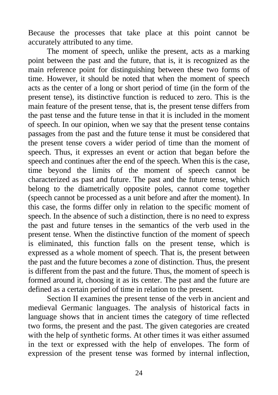Because the processes that take place at this point cannot be accurately attributed to any time.

The moment of speech, unlike the present, acts as a marking point between the past and the future, that is, it is recognized as the main reference point for distinguishing between these two forms of time. However, it should be noted that when the moment of speech acts as the center of a long or short period of time (in the form of the present tense), its distinctive function is reduced to zero. This is the main feature of the present tense, that is, the present tense differs from the past tense and the future tense in that it is included in the moment of speech. In our opinion, when we say that the present tense contains passages from the past and the future tense it must be considered that the present tense covers a wider period of time than the moment of speech. Thus, it expresses an event or action that began before the speech and continues after the end of the speech. When this is the case, time beyond the limits of the moment of speech cannot be characterized as past and future. The past and the future tense, which belong to the diametrically opposite poles, cannot come together (speech cannot be processed as a unit before and after the moment). In this case, the forms differ only in relation to the specific moment of speech. In the absence of such a distinction, there is no need to express the past and future tenses in the semantics of the verb used in the present tense. When the distinctive function of the moment of speech is eliminated, this function falls on the present tense, which is expressed as a whole moment of speech. That is, the present between the past and the future becomes a zone of distinction. Thus, the present is different from the past and the future. Thus, the moment of speech is formed around it, choosing it as its center. The past and the future are defined as a certain period of time in relation to the present.

Section II examines the present tense of the verb in ancient and medieval Germanic languages. The analysis of historical facts in language shows that in ancient times the category of time reflected two forms, the present and the past. The given categories are created with the help of synthetic forms. At other times it was either assumed in the text or expressed with the help of envelopes. The form of expression of the present tense was formed by internal inflection,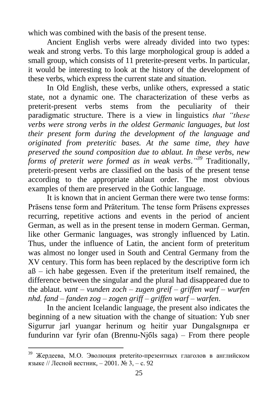which was combined with the basis of the present tense.

Ancient English verbs were already divided into two types: weak and strong verbs. To this large morphological group is added a small group, which consists of 11 preterite-present verbs. In particular, it would be interesting to look at the history of the development of these verbs, which express the current state and situation.

In Old English, these verbs, unlike others, expressed a static state, not a dynamic one. The characterization of these verbs as preterit-present verbs stems from the peculiarity of their paradigmatic structure. There is a view in linguistics *that "these verbs were strong verbs in the oldest Germanic languages, but lost their present form during the development of the language and originated from preteritic bases. At the same time, they have preserved the sound composition due to ablaut. In these verbs, new forms of preterit were formed as in weak verbs*.*" <sup>39</sup>* Traditionally, preterit-present verbs are classified on the basis of the present tense according to the appropriate ablaut order. The most obvious examples of them are preserved in the Gothic language.

It is known that in ancient German there were two tense forms: Präsens tense form and Präteritum. The tense form Präsens expresses recurring, repetitive actions and events in the period of ancient German, as well as in the present tense in modern German. German, like other Germanic languages, was strongly influenced by Latin. Thus, under the influence of Latin, the ancient form of preteritum was almost no longer used in South and Central Germany from the XV century. This form has been replaced by the descriptive form ich  $a\beta$  – ich habe gegessen. Even if the preteritum itself remained, the difference between the singular and the plural had disappeared due to the ablaut. *vant – vunden zoch – zugen greif – griffen warf – wurfen nhd. fand – fanden zog – zogen griff – griffen warf – warfen*.

In the ancient Icelandic language, the present also indicates the beginning of a new situation with the change of situation: Yub sner Sigurrur jarl yuangar herinum og heitir yuar Dungalsgnнpa er fundurinn var fyrir ofan (Brennu-Njбls saga) – From there people

<sup>39</sup> Жердеева, М.О. Эволюция preteritо-презентных глаголов в английском языке // Лесной вестник, – 2001. № 3, – с. 92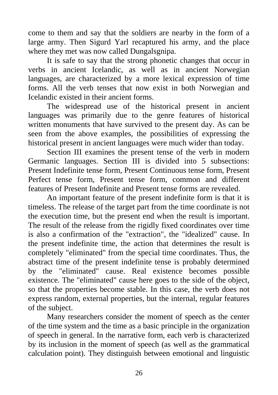come to them and say that the soldiers are nearby in the form of a large army. Then Sigurd Yarl recaptured his army, and the place where they met was now called Dungalsgnipa.

It is safe to say that the strong phonetic changes that occur in verbs in ancient Icelandic, as well as in ancient Norwegian languages, are characterized by a more lexical expression of time forms. All the verb tenses that now exist in both Norwegian and Icelandic existed in their ancient forms.

The widespread use of the historical present in ancient languages was primarily due to the genre features of historical written monuments that have survived to the present day. As can be seen from the above examples, the possibilities of expressing the historical present in ancient languages were much wider than today.

Section III examines the present tense of the verb in modern Germanic languages. Section III is divided into 5 subsections: Present Indefinite tense form, Present Continuous tense form, Present Perfect tense form, Present tense form, common and different features of Present Indefinite and Present tense forms are revealed.

An important feature of the present indefinite form is that it is timeless. The release of the target part from the time coordinate is not the execution time, but the present end when the result is important. The result of the release from the rigidly fixed coordinates over time is also a confirmation of the "extraction", the "idealized" cause. In the present indefinite time, the action that determines the result is completely "eliminated" from the special time coordinates. Thus, the abstract time of the present indefinite tense is probably determined by the "eliminated" cause. Real existence becomes possible existence. The "eliminated" cause here goes to the side of the object, so that the properties become stable. In this case, the verb does not express random, external properties, but the internal, regular features of the subject.

Many researchers consider the moment of speech as the center of the time system and the time as a basic principle in the organization of speech in general. In the narrative form, each verb is characterized by its inclusion in the moment of speech (as well as the grammatical calculation point). They distinguish between emotional and linguistic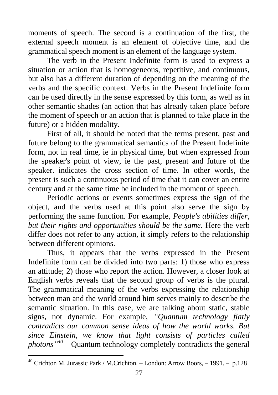moments of speech. The second is a continuation of the first, the external speech moment is an element of objective time, and the grammatical speech moment is an element of the language system.

The verb in the Present Indefinite form is used to express a situation or action that is homogeneous, repetitive, and continuous, but also has a different duration of depending on the meaning of the verbs and the specific context. Verbs in the Present Indefinite form can be used directly in the sense expressed by this form, as well as in other semantic shades (an action that has already taken place before the moment of speech or an action that is planned to take place in the future) or a hidden modality.

First of all, it should be noted that the terms present, past and future belong to the grammatical semantics of the Present Indefinite form, not in real time, ie in physical time, but when expressed from the speaker's point of view, ie the past, present and future of the speaker. indicates the cross section of time. In other words, the present is such a continuous period of time that it can cover an entire century and at the same time be included in the moment of speech.

Periodic actions or events sometimes express the sign of the object, and the verbs used at this point also serve the sign by performing the same function. For example, *People's abilities differ, but their rights and opportunities should be the same.* Here the verb differ does not refer to any action, it simply refers to the relationship between different opinions.

Thus, it appears that the verbs expressed in the Present Indefinite form can be divided into two parts: 1) those who express an attitude; 2) those who report the action. However, a closer look at English verbs reveals that the second group of verbs is the plural. The grammatical meaning of the verbs expressing the relationship between man and the world around him serves mainly to describe the semantic situation. In this case, we are talking about static, stable signs, not dynamic. For example, *"Quantum technology flatly contradicts our common sense ideas of how the world works. But since Einstein, we know that light consists of particles called photons" 40 –* Quantum technology completely contradicts the general

<sup>40</sup> Crichton M. Jurassic Park / M.Crichton. – London: Arrow Boors, – 1991. – p.128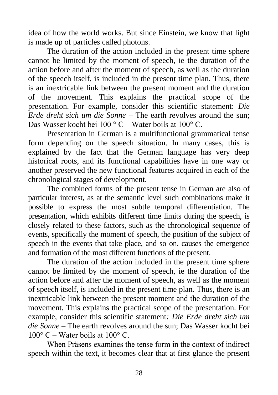idea of how the world works. But since Einstein, we know that light is made up of particles called photons.

The duration of the action included in the present time sphere cannot be limited by the moment of speech, ie the duration of the action before and after the moment of speech, as well as the duration of the speech itself, is included in the present time plan. Thus, there is an inextricable link between the present moment and the duration of the movement. This explains the practical scope of the presentation. For example, consider this scientific statement: *Die Erde dreht sich um die Sonne* – The earth revolves around the sun; Das Wasser kocht bei 100 ° C – Water boils at 100° C.

Presentation in German is a multifunctional grammatical tense form depending on the speech situation. In many cases, this is explained by the fact that the German language has very deep historical roots, and its functional capabilities have in one way or another preserved the new functional features acquired in each of the chronological stages of development.

The combined forms of the present tense in German are also of particular interest, as at the semantic level such combinations make it possible to express the most subtle temporal differentiation. The presentation, which exhibits different time limits during the speech, is closely related to these factors, such as the chronological sequence of events, specifically the moment of speech, the position of the subject of speech in the events that take place, and so on. causes the emergence and formation of the most different functions of the present.

The duration of the action included in the present time sphere cannot be limited by the moment of speech, ie the duration of the action before and after the moment of speech, as well as the moment of speech itself, is included in the present time plan. Thus, there is an inextricable link between the present moment and the duration of the movement. This explains the practical scope of the presentation. For example, consider this scientific statement*: Die Erde dreht sich um die Sonne* – The earth revolves around the sun; Das Wasser kocht bei  $100^{\circ}$  C – Water boils at  $100^{\circ}$  C.

When Präsens examines the tense form in the context of indirect speech within the text, it becomes clear that at first glance the present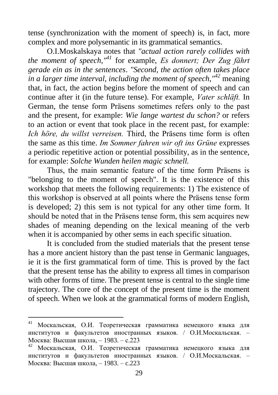tense (synchronization with the moment of speech) is, in fact, more complex and more polysemantic in its grammatical semantics.

O.I.Moskalskaya notes that *"actual action rarely collides with the moment of speech,"<sup>41</sup>* for example, *Es donnert; Der Zug fährt gerade ein as in the sentences*. *"Second, the action often takes place in a larger time interval, including the moment of speech,"<sup>42</sup>* meaning that, in fact, the action begins before the moment of speech and can continue after it (in the future tense). For example, *Vater schläft.* In German, the tense form Präsens sometimes refers only to the past and the present, for example: *Wie lange wartest du schon?* or refers to an action or event that took place in the recent past, for example: *Ich höre, du willst verreisen.* Third, the Präsens time form is often the same as this time. *Im Sommer fahren wir oft ins Grüne* expresses a periodic repetitive action or potential possibility, as in the sentence, for example: *Solche Wunden heilen magic schnell.* 

Thus, the main semantic feature of the time form Präsens is "belonging to the moment of speech". It is the existence of this workshop that meets the following requirements: 1) The existence of this workshop is observed at all points where the Präsens tense form is developed; 2) this sem is not typical for any other time form. It should be noted that in the Präsens tense form, this sem acquires new shades of meaning depending on the lexical meaning of the verb when it is accompanied by other sems in each specific situation.

It is concluded from the studied materials that the present tense has a more ancient history than the past tense in Germanic languages, ie it is the first grammatical form of time. This is proved by the fact that the present tense has the ability to express all times in comparison with other forms of time. The present tense is central to the single time trajectory. The core of the concept of the present time is the moment of speech. When we look at the grammatical forms of modern English,

<sup>41</sup> Москальская, О.И. Теоретическая грамматика немецкого языка для институтов и факультетов иностранных языков. / О.И.Москальская. – Москва: Высшая школа, – 1983. – с.223

Москальская, О.И. Теоретическая грамматика немецкого языка для институтов и факультетов иностранных языков. / О.И.Москальская. – Москва: Высшая школа, – 1983. – c.223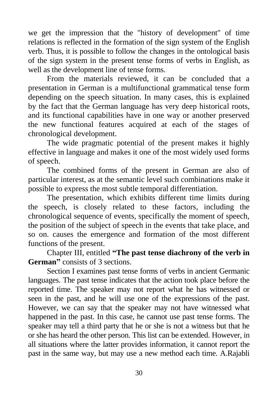we get the impression that the "history of development" of time relations is reflected in the formation of the sign system of the English verb. Thus, it is possible to follow the changes in the ontological basis of the sign system in the present tense forms of verbs in English, as well as the development line of tense forms.

From the materials reviewed, it can be concluded that a presentation in German is a multifunctional grammatical tense form depending on the speech situation. In many cases, this is explained by the fact that the German language has very deep historical roots, and its functional capabilities have in one way or another preserved the new functional features acquired at each of the stages of chronological development.

The wide pragmatic potential of the present makes it highly effective in language and makes it one of the most widely used forms of speech.

The combined forms of the present in German are also of particular interest, as at the semantic level such combinations make it possible to express the most subtle temporal differentiation.

The presentation, which exhibits different time limits during the speech, is closely related to these factors, including the chronological sequence of events, specifically the moment of speech, the position of the subject of speech in the events that take place, and so on. causes the emergence and formation of the most different functions of the present.

Chapter III, entitled **"The past tense diachrony of the verb in German"** consists of 3 sections.

Section I examines past tense forms of verbs in ancient Germanic languages. The past tense indicates that the action took place before the reported time. The speaker may not report what he has witnessed or seen in the past, and he will use one of the expressions of the past. However, we can say that the speaker may not have witnessed what happened in the past. In this case, he cannot use past tense forms. The speaker may tell a third party that he or she is not a witness but that he or she has heard the other person. This list can be extended. However, in all situations where the latter provides information, it cannot report the past in the same way, but may use a new method each time. A.Rajabli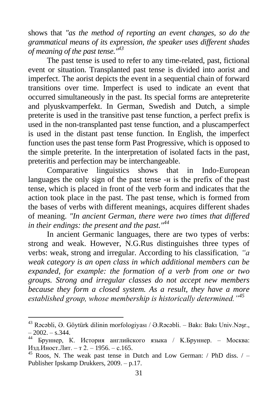shows that *"as the method of reporting an event changes, so do the grammatical means of its expression, the speaker uses different shades of meaning of the past tense."<sup>43</sup>*

The past tense is used to refer to any time-related, past, fictional event or situation. Transplanted past tense is divided into aorist and imperfect. The aorist depicts the event in a sequential chain of forward transitions over time. Imperfect is used to indicate an event that occurred simultaneously in the past. Its special forms are antepreterite and plyuskvamperfekt. In German, Swedish and Dutch, a simple preterite is used in the transitive past tense function, a perfect prefix is used in the non-transplanted past tense function, and a pluscamperfect is used in the distant past tense function. In English, the imperfect function uses the past tense form Past Progressive, which is opposed to the simple preterite. In the interpretation of isolated facts in the past, preteritis and perfection may be interchangeable.

Comparative linguistics shows that in Indo-European languages the only sign of the past tense -и is the prefix of the past tense, which is placed in front of the verb form and indicates that the action took place in the past. The past tense, which is formed from the bases of verbs with different meanings, acquires different shades of meaning. *"In ancient German, there were two times that differed in their endings: the present and the past."<sup>44</sup>*

In ancient Germanic languages, there are two types of verbs: strong and weak. However, N.G.Rus distinguishes three types of verbs: weak, strong and irregular. According to his classification*, "a weak category is an open class in which additional members can be expanded, for example: the formation of a verb from one or two groups. Strong and irregular classes do not accept new members because they form a closed system. As a result, they have a more established group, whose membership is historically determined."<sup>45</sup>*

<sup>43</sup> Rəcəbli, Ə. Göytürk dilinin morfologiyası / Ə.Rəcəbli. – Bakı: Bakı Univ.Nəşr.,  $-2002. - s.344.$ 

<sup>44</sup> Бруннер, К. История английского языка / K.Бруннер. – Москва: Изд.Иност.Лит. – т 2. – 1956. – с.165.

 $45$  Roos, N. The weak past tense in Dutch and Low German: / PhD diss. / – Publisher Ipskamp Drukkers, 2009. – p.17.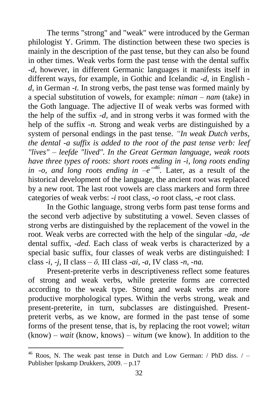The terms "strong" and "weak" were introduced by the German philologist Y. Grimm. The distinction between these two species is mainly in the description of the past tense, but they can also be found in other times. Weak verbs form the past tense with the dental suffix *-d,* however, in different Germanic languages it manifests itself in different ways, for example, in Gothic and Icelandic *-d,* in English  *d,* in German *-t.* In strong verbs, the past tense was formed mainly by a special substitution of vowels, for example: *niman – nam* (take) in the Goth language. The adjective II of weak verbs was formed with the help of the suffix *-d,* and in strong verbs it was formed with the help of the suffix *-n*. Strong and weak verbs are distinguished by a system of personal endings in the past tense. *"In weak Dutch verbs, the dental -a suffix is added to the root of the past tense verb: leef "lives" – leefde "lived". In the Great German language, weak roots have three types of roots: short roots ending in -i, long roots ending in -o, and long roots ending in*  $-e^{i\pi/46}$ *. Later, as a result of the* historical development of the language, the ancient root was replaced by a new root. The last root vowels are class markers and form three categories of weak verbs: *-i* root class, *-o* root class, *-e* root class.

In the Gothic language, strong verbs form past tense forms and the second verb adjective by substituting a vowel. Seven classes of strong verbs are distinguished by the replacement of the vowel in the root. Weak verbs are corrected with the help of the singular *-da, -de* dental suffix*, -ded.* Each class of weak verbs is characterized by a special basic suffix, four classes of weak verbs are distinguished: I class *-i, -j,* II class – *ō,* III class *-ai*, *-a,* IV class *-n, -na.*

Present-preterite verbs in descriptiveness reflect some features of strong and weak verbs, while preterite forms are corrected according to the weak type. Strong and weak verbs are more productive morphological types. Within the verbs strong, weak and present-preterite, in turn, subclasses are distinguished. Presentpreterit verbs, as we know, are formed in the past tense of some forms of the present tense, that is, by replacing the root vowel; *witan* (know) – *wait* (know, knows) – *witum* (we know). In addition to the

 $46$  Roos, N. The weak past tense in Dutch and Low German: / PhD diss. / -Publisher Ipskamp Drukkers, 2009. – p.17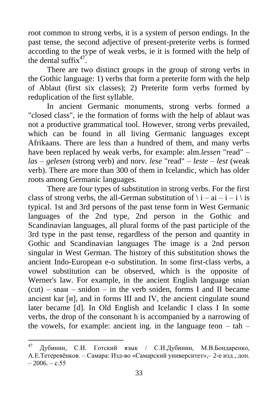root common to strong verbs, it is a system of person endings. In the past tense, the second adjective of present-preterite verbs is formed according to the type of weak verbs, ie it is formed with the help of the dental suffix<sup>47</sup>.

There are two distinct groups in the group of strong verbs in the Gothic language: 1) verbs that form a preterite form with the help of Ablaut (first six classes); 2) Preterite form verbs formed by reduplication of the first syllable.

In ancient Germanic monuments, strong verbs formed a "closed class", ie the formation of forms with the help of ablaut was not a productive grammatical tool. However, strong verbs prevailed, which can be found in all living Germanic languages except Afrikaans. There are less than a hundred of them, and many verbs have been replaced by weak verbs, for example: alm.*lessen* "read" – *las – gelesen* (strong verb) and norv. *lese* "read" – *leste – lest* (weak verb). There are more than 300 of them in Icelandic, which has older roots among Germanic languages.

There are four types of substitution in strong verbs. For the first class of strong verbs, the all-German substitution of  $\iota$  i – ai – i – i  $\iota$  is typical. 1st and 3rd persons of the past tense form in West Germanic languages of the 2nd type, 2nd person in the Gothic and Scandinavian languages, all plural forms of the past participle of the 3rd type in the past tense, regardless of the person and quantity in Gothic and Scandinavian languages The image is a 2nd person singular in West German. The history of this substitution shows the ancient Indo-European e-o substitution. In some first-class verbs, a vowel substitution can be observed, which is the opposite of Werner's law. For example, in the ancient English language snian  $(cut)$  – sna $u$  – snidon – in the verb sniden, forms I and II became ancient kar [и], and in forms III and IV, the ancient cingulate sound later became [d]. In Old English and Icelandic I class I In some verbs, the drop of the consonant h is accompanied by a narrowing of the vowels, for example: ancient ing. in the language teon  $-$  tah  $-$ 

<sup>47</sup> Дубинин, С.И. Готский язык / С.И.Дубинин, М.В.Бондаренко, А.Е.Тетеревѐнков. – Самара: Изд-во «Самарский университет»,– 2-е изд., доп.  $-2006 - c.55$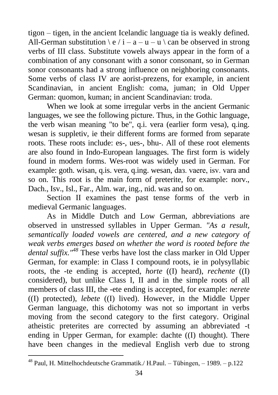tigon – tigen, in the ancient Icelandic language tia is weakly defined. All-German substitution  $\ e / i - a - u - u \ c$ an be observed in strong verbs of III class. Substitute vowels always appear in the form of a combination of any consonant with a sonor consonant, so in German sonor consonants had a strong influence on neighboring consonants. Some verbs of class IV are aorist-prezens, for example, in ancient Scandinavian, in ancient English: coma, juman; in Old Upper German: quomon, kuman; in ancient Scandinavian: troda.

When we look at some irregular verbs in the ancient Germanic languages, we see the following picture. Thus, in the Gothic language, the verb wisan meaning "to be", q.i. vera (earlier form vesa), q.ing. wesan is suppletiv, ie their different forms are formed from separate roots. These roots include: es-, ues-, bhu-. All of these root elements are also found in Indo-European languages. The first form is widely found in modern forms. Wes-root was widely used in German. For example: goth. wisan, q.is. vera, q.ing. wesan, daз. vaere, isv. vara and so on. This root is the main form of preterite, for example: norv., Dach., Isv., Isl., Far., Alm. war, ing., nid. was and so on.

Section II examines the past tense forms of the verb in medieval Germanic languages.

As in Middle Dutch and Low German, abbreviations are observed in unstressed syllables in Upper German. *"As a result, semantically loaded vowels are centered, and a new category of weak verbs emerges based on whether the word is rooted before the dental suffix."<sup>48</sup>* These verbs have lost the class marker in Old Upper German, for example: in Class I compound roots, ie in polysyllabic roots, the -te ending is accepted, *horte* ((I) heard), *rechente* ((I) considered), but unlike Class I, II and in the simple roots of all members of class III, the -ete ending is accepted, for example: *nerete* ((I) protected), *lebete* ((I) lived). However, in the Middle Upper German language, this dichotomy was not so important in verbs moving from the second category to the first category. Original atheistic preterites are corrected by assuming an abbreviated -t ending in Upper German, for example: dachte ((I) thought). There have been changes in the medieval English verb due to strong

<sup>48</sup> Paul, H. Mittelhochdeutsche Grammatik./ H.Paul. – Tübingen, – 1989. – p.122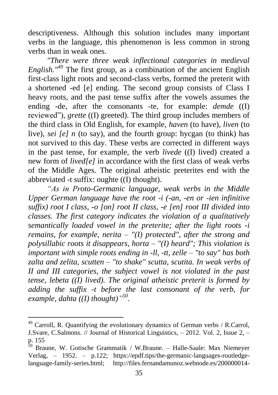descriptiveness. Although this solution includes many important verbs in the language, this phenomenon is less common in strong verbs than in weak ones.

*"There were three weak inflectional categories in medieval English."<sup>49</sup>* The first group, as a combination of the ancient English first-class light roots and second-class verbs, formed the preterit with a shortened -ed [e] ending. The second group consists of Class I heavy roots, and the past tense suffix after the vowels assumes the ending -de, after the consonants -te, for example: *demde* ((I) reviewed"), *grette* ((I) greeted). The third group includes members of the third class in Old English, for example, *haven* (to have), *liven* (to live), *sei [e] n* (to say), and the fourth group: hycgan (to think) has not survived to this day. These verbs are corrected in different ways in the past tense, for example, the verb *livede* ((I) lived) created a new form of *lived[e]* in accordance with the first class of weak verbs of the Middle Ages. The original atheistic preterites end with the abbreviated -t suffix: oughte ((I) thought).

*"As in Proto-Germanic language, weak verbs in the Middle Upper German language have the root -i (-an, -en or -ien infinitive suffix) root I class, -o [on] root II class, -e [en] root III divided into classes. The first category indicates the violation of a qualitatively semantically loaded vowel in the preterite; after the light roots -i remains, for example, nerita – "(I) protected", after the strong and polysillabic roots it disappears, horta – "(I) heard"; This violation is important with simple roots ending in -ll, -tt, zelle – "to say" has both zalta and zelita, scutten – "to shake" scutta, scutita. In weak verbs of II and III categories, the subject vowel is not violated in the past tense, lebeta ((I) lived). The original atheistic preterit is formed by adding the suffix -t before the last consonant of the verb, for example, dahta ((I) thought)" 50 .*

 $49$  Carroll. R. Quantifying the evolutionary dynamics of German verbs / R.Carrol, J.Svare, C.Salmons. // Journal of Historical Linguistics, – 2012. Vol. 2, Issue 2, – p. 155

<sup>50</sup> Braune, W. Gotische Grammatik / W.Braune. – Halle-Saale: Max Niemeyer Verlag, – 1952. – p.122; [https://epdf.tips/the-germanic-languages-routledge](https://epdf.tips/the-germanic-languages-routledge-language-family-series.html)[language-family-series.html;](https://epdf.tips/the-germanic-languages-routledge-language-family-series.html) [http://files.fernandamunoz.webnode.es/200000014-](http://files.fernandamunoz.webnode.es/200000014-a009da081b/Text_English_as_a_Germanic_Language_in_History_of_the_English_Language.pdf)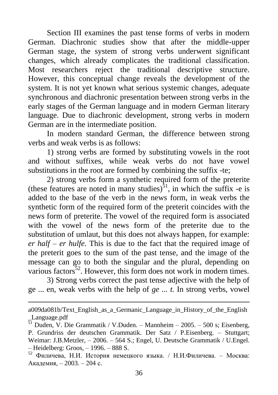Section III examines the past tense forms of verbs in modern German. Diachronic studies show that after the middle-upper German stage, the system of strong verbs underwent significant changes, which already complicates the traditional classification. Most researchers reject the traditional descriptive structure. However, this conceptual change reveals the development of the system. It is not yet known what serious systemic changes, adequate synchronous and diachronic presentation between strong verbs in the early stages of the German language and in modern German literary language. Due to diachronic development, strong verbs in modern German are in the intermediate position.

In modern standard German, the difference between strong verbs and weak verbs is as follows:

1) strong verbs are formed by substituting vowels in the root and without suffixes, while weak verbs do not have vowel substitutions in the root are formed by combining the suffix -te;

2) strong verbs form a synthetic required form of the preterite (these features are noted in many studies)<sup>51</sup>, in which the suffix -e is added to the base of the verb in the news form, in weak verbs the synthetic form of the required form of the preterit coincides with the news form of preterite. The vowel of the required form is associated with the vowel of the news form of the preterite due to the substitution of umlaut, but this does not always happen, for example: *er half – er hulfe*. This is due to the fact that the required image of the preterit goes to the sum of the past tense, and the image of the message can go to both the singular and the plural, depending on various factors $52$ . However, this form does not work in modern times.

3) Strong verbs correct the past tense adjective with the help of ge ... en, weak verbs with the help of *ge ... t.* In strong verbs, vowel

[a009da081b/Text\\_English\\_as\\_a\\_Germanic\\_Language\\_in\\_History\\_of\\_the\\_English](http://files.fernandamunoz.webnode.es/200000014-a009da081b/Text_English_as_a_Germanic_Language_in_History_of_the_English_Language.pdf) [\\_Language.pdf](http://files.fernandamunoz.webnode.es/200000014-a009da081b/Text_English_as_a_Germanic_Language_in_History_of_the_English_Language.pdf)

 $\frac{51}{51}$  Duden. V. Die Grammatik / V.Duden. – Mannheim – 2005. – 500 s; Eisenberg, P. Grundriss der deutschen Grammatik. Der Satz / P.Eisenberg. – Stuttgart; Weimar: J.B.Metzler, – 2006. – 564 S.; Engel, U. Deutsche Grammatik / U.Engel. – Heidelberg: Groos, – 1996. – 888 S.

<sup>52</sup> Филичева, [Н.И. История немецкого языка.](https://cyberleninka.ru/article/n/2005-01-009-filicheva-n-i-istoriya-nemetskogo-yazyka-m-akademiya-2003-204-s) / Н.И.Филичева. – Москва: [Академия,](https://cyberleninka.ru/article/n/2005-01-009-filicheva-n-i-istoriya-nemetskogo-yazyka-m-akademiya-2003-204-s) – 2003. – 204 с.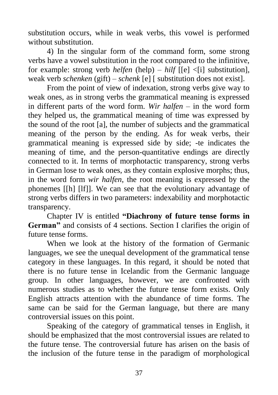substitution occurs, while in weak verbs, this vowel is performed without substitution.

4) In the singular form of the command form, some strong verbs have a vowel substitution in the root compared to the infinitive, for example: strong verb *helfen* (help) – *hilf* [[e] <[i] substitution], weak verb *schenken* (gift) – *schenk* [e] [ substitution does not exist].

From the point of view of indexation, strong verbs give way to weak ones, as in strong verbs the grammatical meaning is expressed in different parts of the word form. *Wir halfen* – in the word form they helped us, the grammatical meaning of time was expressed by the sound of the root [a], the number of subjects and the grammatical meaning of the person by the ending. As for weak verbs, their grammatical meaning is expressed side by side; -te indicates the meaning of time, and the person-quantitative endings are directly connected to it. In terms of morphotactic transparency, strong verbs in German lose to weak ones, as they contain explosive morphs; thus, in the word form *wir halfen*, the root meaning is expressed by the phonemes [[h] [lf]]. We can see that the evolutionary advantage of strong verbs differs in two parameters: indexability and morphotactic transparency.

Chapter IV is entitled **"Diachrony of future tense forms in German"** and consists of 4 sections. Section I clarifies the origin of future tense forms.

When we look at the history of the formation of Germanic languages, we see the unequal development of the grammatical tense category in these languages. In this regard, it should be noted that there is no future tense in Icelandic from the Germanic language group. In other languages, however, we are confronted with numerous studies as to whether the future tense form exists. Only English attracts attention with the abundance of time forms. The same can be said for the German language, but there are many controversial issues on this point.

Speaking of the category of grammatical tenses in English, it should be emphasized that the most controversial issues are related to the future tense. The controversial future has arisen on the basis of the inclusion of the future tense in the paradigm of morphological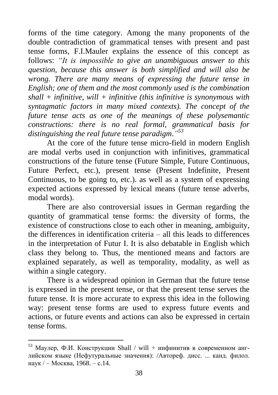forms of the time category. Among the many proponents of the double contradiction of grammatical tenses with present and past tense forms, F.I.Mauler explains the essence of this concept as follows: *"It is impossible to give an unambiguous answer to this question, because this answer is both simplified and will also be wrong. There are many means of expressing the future tense in English; one of them and the most commonly used is the combination shall + infinitive, will + infinitive (this infinitive is synonymous with syntagmatic factors in many mixed contexts). The concept of the future tense acts as one of the meanings of these polysemantic constructions: there is no real formal, grammatical basis for distinguishing the real future tense paradigm*.*" 53*

At the core of the future tense micro-field in modern English are modal verbs used in conjunction with infinitives, grammatical constructions of the future tense (Future Simple, Future Continuous, Future Perfect, etc.), present tense (Present Indefinite, Present Continuous, to be going to, etc.). as well as a system of expressing expected actions expressed by lexical means (future tense adverbs, modal words).

There are also controversial issues in German regarding the quantity of grammatical tense forms: the diversity of forms, the existence of constructions close to each other in meaning, ambiguity, the differences in identification criteria – all this leads to differences in the interpretation of Futur I. It is also debatable in English which class they belong to. Thus, the mentioned means and factors are explained separately, as well as temporality, modality, as well as within a single category.

There is a widespread opinion in German that the future tense is expressed in the present tense, or that the present tense serves the future tense. It is more accurate to express this idea in the following way: present tense forms are used to express future events and actions, or future events and actions can also be expressed in certain tense forms.

 $53$  Маулер, Ф.И. Конструкции Shall / will + инфинитив в современном английском языке (Нефутуральные значения): /Автореф. дисс. ... канд. филол. наук / – Москва, 1968. – с.14.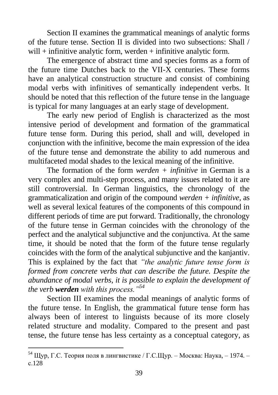Section II examines the grammatical meanings of analytic forms of the future tense. Section II is divided into two subsections: Shall / will  $+$  infinitive analytic form, werden  $+$  infinitive analytic form.

The emergence of abstract time and species forms as a form of the future time Dutches back to the VII-X centuries. These forms have an analytical construction structure and consist of combining modal verbs with infinitives of semantically independent verbs. It should be noted that this reflection of the future tense in the language is typical for many languages at an early stage of development.

The early new period of English is characterized as the most intensive period of development and formation of the grammatical future tense form. During this period, shall and will, developed in conjunction with the infinitive, become the main expression of the idea of the future tense and demonstrate the ability to add numerous and multifaceted modal shades to the lexical meaning of the infinitive.

The formation of the form *werden + infinitive* in German is a very complex and multi-step process, and many issues related to it are still controversial. In German linguistics, the chronology of the grammaticalization and origin of the compound *werden + infinitive,* as well as several lexical features of the components of this compound in different periods of time are put forward. Traditionally, the chronology of the future tense in German coincides with the chronology of the perfect and the analytical subjunctive and the conjunctiva. At the same time, it should be noted that the form of the future tense regularly coincides with the form of the analytical subjunctive and the kanjantiv. This is explained by the fact that *"the analytic future tense form is formed from concrete verbs that can describe the future. Despite the abundance of modal verbs, it is possible to explain the development of the verb werden with this process."<sup>54</sup>*

Section III examines the modal meanings of analytic forms of the future tense. In English, the grammatical future tense form has always been of interest to linguists because of its more closely related structure and modality. Compared to the present and past tense, the future tense has less certainty as a conceptual category, as

<sup>&</sup>lt;sup>54</sup> Щур, Г.С. Теория поля в лингвистике / Г.С.Щур. – Москва: Наука, – 1974. – с.128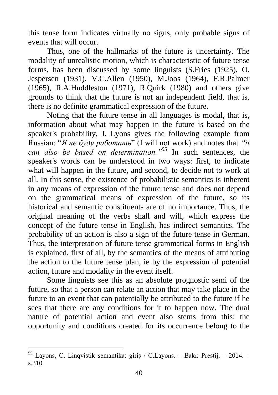this tense form indicates virtually no signs, only probable signs of events that will occur.

Thus, one of the hallmarks of the future is uncertainty. The modality of unrealistic motion, which is characteristic of future tense forms, has been discussed by some linguists (S.Fries (1925), O. Jespersen (1931), V.C.Allen (1950), M.Joos (1964), F.R.Palmer (1965), R.A.Huddleston (1971), R.Quirk (1980) and others give grounds to think that the future is not an independent field, that is, there is no definite grammatical expression of the future.

Noting that the future tense in all languages is modal, that is, information about what may happen in the future is based on the speaker's probability, J. Lyons gives the following example from Russian: "*Я не буду работать*" (I will not work) and notes that *"it can also be based on determination."<sup>55</sup>* In such sentences, the speaker's words can be understood in two ways: first, to indicate what will happen in the future, and second, to decide not to work at all. In this sense, the existence of probabilistic semantics is inherent in any means of expression of the future tense and does not depend on the grammatical means of expression of the future, so its historical and semantic constituents are of no importance. Thus, the original meaning of the verbs shall and will, which express the concept of the future tense in English, has indirect semantics. The probability of an action is also a sign of the future tense in German. Thus, the interpretation of future tense grammatical forms in English is explained, first of all, by the semantics of the means of attributing the action to the future tense plan, ie by the expression of potential action, future and modality in the event itself.

Some linguists see this as an absolute prognostic semi of the future, so that a person can relate an action that may take place in the future to an event that can potentially be attributed to the future if he sees that there are any conditions for it to happen now. The dual nature of potential action and event also stems from this: the opportunity and conditions created for its occurrence belong to the

<sup>55</sup> Layons, C. Linqvistik semantika: giriş / C.Layons. – Bakı: Prestij, – 2014. – s.310.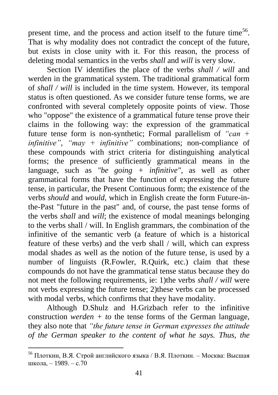present time, and the process and action itself to the future time<sup>56</sup>. That is why modality does not contradict the concept of the future, but exists in close unity with it. For this reason, the process of deleting modal semantics in the verbs *shall* and *will* is very slow.

Section IV identifies the place of the verbs *shall / will* and werden in the grammatical system. The traditional grammatical form of *shall / will* is included in the time system. However, its temporal status is often questioned. As we consider future tense forms, we are confronted with several completely opposite points of view. Those who "oppose" the existence of a grammatical future tense prove their claims in the following way: the expression of the grammatical future tense form is non-synthetic; Formal parallelism of *"can + infinitive"*, *"may + infinitive"* combinations; non-compliance of these compounds with strict criteria for distinguishing analytical forms; the presence of sufficiently grammatical means in the language, such as *"be going + infinitive",* as well as other grammatical forms that have the function of expressing the future tense, in particular, the Present Continuous form; the existence of the verbs *should* and *would*, which in English create the form Future-inthe-Past "future in the past" and, of course, the past tense forms of the verbs *shall* and *will*; the existence of modal meanings belonging to the verbs shall / will. In English grammars, the combination of the infinitive of the semantic verb (a feature of which is a historical feature of these verbs) and the verb shall / will, which can express modal shades as well as the notion of the future tense, is used by a number of linguists (R.Fowler, R.Quirk, etc.) claim that these compounds do not have the grammatical tense status because they do not meet the following requirements, ie: 1)the verbs *shall / will* were not verbs expressing the future tense; 2)these verbs can be processed with modal verbs, which confirms that they have modality.

Although D.Shulz and H.Grizbach refer to the infinitive construction *werden + to* the tense forms of the German language, they also note that *"the future tense in German expresses the attitude of the German speaker to the content of what he says. Thus, the* 

<sup>56</sup> Плоткин, В.Я. Строй английского языка / В.Я. Плоткин. – Москва: Высшая школа, – 1989. – с.70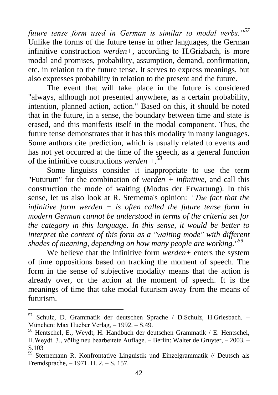*future tense form used in German is similar to modal verbs."<sup>57</sup>* Unlike the forms of the future tense in other languages, the German infinitive construction *werden+,* according to H.Grizbach, is more modal and promises, probability, assumption, demand, confirmation, etc. in relation to the future tense. It serves to express meanings, but also expresses probability in relation to the present and the future.

The event that will take place in the future is considered "always, although not presented anywhere, as a certain probability, intention, planned action, action." Based on this, it should be noted that in the future, in a sense, the boundary between time and state is erased, and this manifests itself in the modal component. Thus, the future tense demonstrates that it has this modality in many languages. Some authors cite prediction, which is usually related to events and has not yet occurred at the time of the speech, as a general function of the infinitive constructions *werden +.<sup>58</sup>*

Some linguists consider it inappropriate to use the term "Futurum" for the combination of *werden + infinitive*, and call this construction the mode of waiting (Modus der Erwartung). In this sense, let us also look at R. Sternema's opinion: *"The fact that the infinitive form werden + is often called the future tense form in modern German cannot be understood in terms of the criteria set for the category in this language. In this sense, it would be better to interpret the content of this form as a "waiting mode" with different shades of meaning, depending on how many people are working."<sup>59</sup>*

We believe that the infinitive form *werden+* enters the system of time oppositions based on tracking the moment of speech. The form in the sense of subjective modality means that the action is already over, or the action at the moment of speech. It is the meanings of time that take modal futurism away from the means of futurism.

<sup>57</sup> Schulz, D. Grammatik der deutschen Sprache / D.Schulz, H.Griesbach. – München: Max Hueber Verlag, – 1992. – S.49.

<sup>58</sup> Hentschel, E., Weydt, H. Handbuch der deutschen Grammatik / E. Hentschel, H.Weydt. 3., völlig neu bearbeitete Auflage. – Berlin: Walter de Gruyter, – 2003. – S.103

<sup>59</sup> Sternemann R. Konfrontative Linguistik und Einzelgrammatik // Deutsch als Fremdsprache, – 1971. H. 2. – S. 157.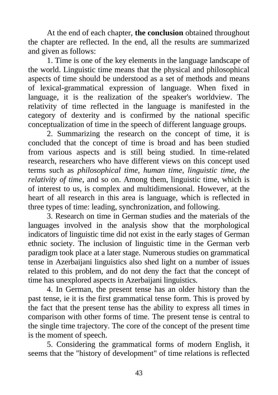At the end of each chapter, **the conclusion** obtained throughout the chapter are reflected. In the end, all the results are summarized and given as follows:

1. Time is one of the key elements in the language landscape of the world. Linguistic time means that the physical and philosophical aspects of time should be understood as a set of methods and means of lexical-grammatical expression of language. When fixed in language, it is the realization of the speaker's worldview. The relativity of time reflected in the language is manifested in the category of dexterity and is confirmed by the national specific conceptualization of time in the speech of different language groups.

2. Summarizing the research on the concept of time, it is concluded that the concept of time is broad and has been studied from various aspects and is still being studied. In time-related research, researchers who have different views on this concept used terms such as *philosophical time, human time, linguistic time, the relativity of time*, and so on. Among them, linguistic time, which is of interest to us, is complex and multidimensional. However, at the heart of all research in this area is language, which is reflected in three types of time: leading, synchronization, and following.

3. Research on time in German studies and the materials of the languages involved in the analysis show that the morphological indicators of linguistic time did not exist in the early stages of German ethnic society. The inclusion of linguistic time in the German verb paradigm took place at a later stage. Numerous studies on grammatical tense in Azerbaijani linguistics also shed light on a number of issues related to this problem, and do not deny the fact that the concept of time has unexplored aspects in Azerbaijani linguistics.

4. In German, the present tense has an older history than the past tense, ie it is the first grammatical tense form. This is proved by the fact that the present tense has the ability to express all times in comparison with other forms of time. The present tense is central to the single time trajectory. The core of the concept of the present time is the moment of speech.

5. Considering the grammatical forms of modern English, it seems that the "history of development" of time relations is reflected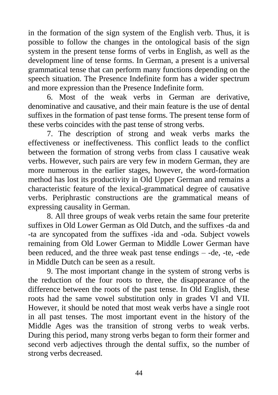in the formation of the sign system of the English verb. Thus, it is possible to follow the changes in the ontological basis of the sign system in the present tense forms of verbs in English, as well as the development line of tense forms. In German, a present is a universal grammatical tense that can perform many functions depending on the speech situation. The Presence Indefinite form has a wider spectrum and more expression than the Presence Indefinite form.

6. Most of the weak verbs in German are derivative, denominative and causative, and their main feature is the use of dental suffixes in the formation of past tense forms. The present tense form of these verbs coincides with the past tense of strong verbs.

7. The description of strong and weak verbs marks the effectiveness or ineffectiveness. This conflict leads to the conflict between the formation of strong verbs from class I causative weak verbs. However, such pairs are very few in modern German, they are more numerous in the earlier stages, however, the word-formation method has lost its productivity in Old Upper German and remains a characteristic feature of the lexical-grammatical degree of causative verbs. Periphrastic constructions are the grammatical means of expressing causality in German.

8. All three groups of weak verbs retain the same four preterite suffixes in Old Lower German as Old Dutch, and the suffixes -da and -ta are syncopated from the suffixes -ida and -oda. Subject vowels remaining from Old Lower German to Middle Lower German have been reduced, and the three weak past tense endings – -de, -te, -ede in Middle Dutch can be seen as a result.

9. The most important change in the system of strong verbs is the reduction of the four roots to three, the disappearance of the difference between the roots of the past tense. In Old English, these roots had the same vowel substitution only in grades VI and VII. However, it should be noted that most weak verbs have a single root in all past tenses. The most important event in the history of the Middle Ages was the transition of strong verbs to weak verbs. During this period, many strong verbs began to form their former and second verb adjectives through the dental suffix, so the number of strong verbs decreased.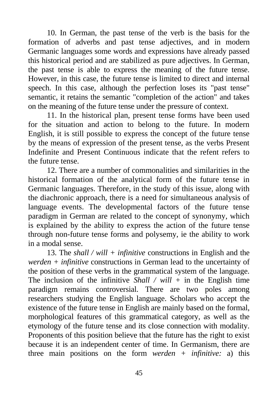10. In German, the past tense of the verb is the basis for the formation of adverbs and past tense adjectives, and in modern Germanic languages some words and expressions have already passed this historical period and are stabilized as pure adjectives. In German, the past tense is able to express the meaning of the future tense. However, in this case, the future tense is limited to direct and internal speech. In this case, although the perfection loses its "past tense" semantic, it retains the semantic "completion of the action" and takes on the meaning of the future tense under the pressure of context.

11. In the historical plan, present tense forms have been used for the situation and action to belong to the future. In modern English, it is still possible to express the concept of the future tense by the means of expression of the present tense, as the verbs Present Indefinite and Present Continuous indicate that the refent refers to the future tense.

12. There are a number of commonalities and similarities in the historical formation of the analytical form of the future tense in Germanic languages. Therefore, in the study of this issue, along with the diachronic approach, there is a need for simultaneous analysis of language events. The developmental factors of the future tense paradigm in German are related to the concept of synonymy, which is explained by the ability to express the action of the future tense through non-future tense forms and polysemy, ie the ability to work in a modal sense.

13. The *shall / will + infinitive* constructions in English and the *werden + infinitive* constructions in German lead to the uncertainty of the position of these verbs in the grammatical system of the language. The inclusion of the infinitive *Shall / will* + in the English time paradigm remains controversial. There are two poles among researchers studying the English language. Scholars who accept the existence of the future tense in English are mainly based on the formal, morphological features of this grammatical category, as well as the etymology of the future tense and its close connection with modality. Proponents of this position believe that the future has the right to exist because it is an independent center of time. In Germanism, there are three main positions on the form *werden + infinitive:* a) this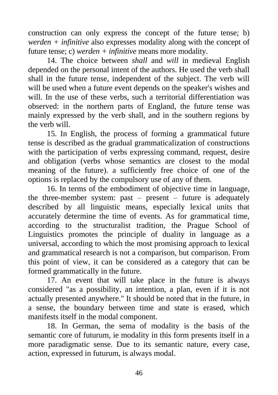construction can only express the concept of the future tense; b) *werden + infinitive* also expresses modality along with the concept of future tense; c) *werden + infinitive* means more modality.

14. The choice between *shall* and *will* in medieval English depended on the personal intent of the authors. He used the verb shall shall in the future tense, independent of the subject. The verb will will be used when a future event depends on the speaker's wishes and will. In the use of these verbs, such a territorial differentiation was observed: in the northern parts of England, the future tense was mainly expressed by the verb shall, and in the southern regions by the verb will.

15. In English, the process of forming a grammatical future tense is described as the gradual grammaticalization of constructions with the participation of verbs expressing command, request, desire and obligation (verbs whose semantics are closest to the modal meaning of the future). a sufficiently free choice of one of the options is replaced by the compulsory use of any of them.

16. In terms of the embodiment of objective time in language, the three-member system: past  $-$  present  $-$  future is adequately described by all linguistic means, especially lexical units that accurately determine the time of events. As for grammatical time, according to the structuralist tradition, the Prague School of Linguistics promotes the principle of duality in language as a universal, according to which the most promising approach to lexical and grammatical research is not a comparison, but comparison. From this point of view, it can be considered as a category that can be formed grammatically in the future.

17. An event that will take place in the future is always considered "as a possibility, an intention, a plan, even if it is not actually presented anywhere." It should be noted that in the future, in a sense, the boundary between time and state is erased, which manifests itself in the modal component.

18. In German, the sema of modality is the basis of the semantic core of futurum, ie modality in this form presents itself in a more paradigmatic sense. Due to its semantic nature, every case, action, expressed in futurum, is always modal.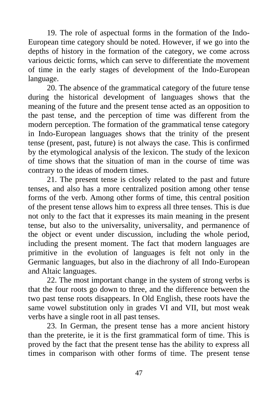19. The role of aspectual forms in the formation of the Indo-European time category should be noted. However, if we go into the depths of history in the formation of the category, we come across various deictic forms, which can serve to differentiate the movement of time in the early stages of development of the Indo-European language.

20. The absence of the grammatical category of the future tense during the historical development of languages shows that the meaning of the future and the present tense acted as an opposition to the past tense, and the perception of time was different from the modern perception. The formation of the grammatical tense category in Indo-European languages shows that the trinity of the present tense (present, past, future) is not always the case. This is confirmed by the etymological analysis of the lexicon. The study of the lexicon of time shows that the situation of man in the course of time was contrary to the ideas of modern times.

21. The present tense is closely related to the past and future tenses, and also has a more centralized position among other tense forms of the verb. Among other forms of time, this central position of the present tense allows him to express all three tenses. This is due not only to the fact that it expresses its main meaning in the present tense, but also to the universality, universality, and permanence of the object or event under discussion, including the whole period, including the present moment. The fact that modern languages are primitive in the evolution of languages is felt not only in the Germanic languages, but also in the diachrony of all Indo-European and Altaic languages.

22. The most important change in the system of strong verbs is that the four roots go down to three, and the difference between the two past tense roots disappears. In Old English, these roots have the same vowel substitution only in grades VI and VII, but most weak verbs have a single root in all past tenses.

23. In German, the present tense has a more ancient history than the preterite, ie it is the first grammatical form of time. This is proved by the fact that the present tense has the ability to express all times in comparison with other forms of time. The present tense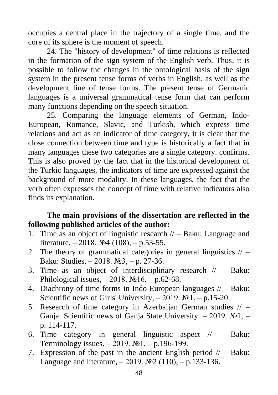occupies a central place in the trajectory of a single time, and the core of its sphere is the moment of speech.

24. The "history of development" of time relations is reflected in the formation of the sign system of the English verb. Thus, it is possible to follow the changes in the ontological basis of the sign system in the present tense forms of verbs in English, as well as the development line of tense forms. The present tense of Germanic languages is a universal grammatical tense form that can perform many functions depending on the speech situation.

25. Comparing the language elements of German, Indo-European, Romance, Slavic, and Turkish, which express time relations and act as an indicator of time category, it is clear that the close connection between time and type is historically a fact that in many languages these two categories are a single category. confirms. This is also proved by the fact that in the historical development of the Turkic languages, the indicators of time are expressed against the background of more modality. In these languages, the fact that the verb often expresses the concept of time with relative indicators also finds its explanation.

### **The main provisions of the dissertation are reflected in the following published articles of the author:**

- 1. Time as an object of linguistic research // Baku: Language and literature,  $-2018$ .  $\mathbb{N} \times 4$  (108),  $-$  p.53-55.
- 2. The theory of grammatical categories in general linguistics  $// -$ Baku: Studies, – 2018. №3, – p. 27-36.
- 3. Time as an object of interdisciplinary research  $\ell$  Baku: Philological issues,  $-2018$ .  $\mathcal{N} \times 16$ ,  $-$  p.62-68.
- 4. Diachrony of time forms in Indo-European languages  $// Baku$ : Scientific news of Girls' University,  $-2019$ .  $\mathbb{N}$ <sup>1</sup>,  $-$  p.15-20.
- 5. Research of time category in Azerbaijan German studies  $// -$ Ganja: Scientific news of Ganja State University. – 2019.  $N_2$ 1, – p. 114-117.
- 6. Time category in general linguistic aspect  $\ell$  Baku: Terminology issues. – 2019.  $N_2$ 1, – p.196-199.
- 7. Expression of the past in the ancient English period  $/ \sim$  Baku: Language and literature,  $-2019$ .  $\mathbb{N}2(110)$ ,  $-$  p.133-136.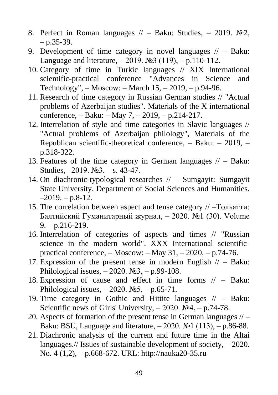- 8. Perfect in Roman languages  $//-$  Baku: Studies,  $-2019$ . №2.  $-$  p.35-39.
- 9. Development of time category in novel languages  $//- B$ aku: Language and literature,  $-2019$ . №3 (119),  $- p.110-112$ .
- 10. Category of time in Turkic languages // XIX International scientific-practical conference "Advances in Science and Technology", – Moscow: – March 15, – 2019, – p.94-96.
- 11. Research of time category in Russian German studies // "Actual problems of Azerbaijan studies". Materials of the X international conference, – Baku: – May 7, – 2019, – p.214-217.
- 12. Interrelation of style and time categories in Slavic languages // "Actual problems of Azerbaijan philology", Materials of the Republican scientific-theoretical conference, – Baku: – 2019, – p.318-322.
- 13. Features of the time category in German languages  $//-$  Baku: Studies, –2019. №3. – s. 43-47.
- 14. On diachronic-typological researches // Sumgayit: Sumgayit State University. Department of Social Sciences and Humanities.  $-2019. - p.8-12.$
- 15. The correlation between aspect and tense category // –Тольятти: Балтийский Гуманитарный журнал, – 2020. №1 (30). Volume  $9. - p.216 - 219.$
- 16. Interrelation of categories of aspects and times // "Russian science in the modern world". XXX International scientificpractical conference,  $-$  Moscow:  $-$  May 31,  $-$  2020,  $-$  p.74-76.
- 17. Expression of the present tense in modern English  $//$  Baku: Philological issues,  $-2020$ .  $\mathbb{N}^3$ ,  $-$  p.99-108.
- 18. Expression of cause and effect in time forms // Baku: Philological issues,  $-2020$ .  $N_2$ 5,  $- p.65$ -71.
- 19. Time category in Gothic and Hittite languages // Baku: Scientific news of Girls' University,  $-2020$ .  $\text{Ne}4$ ,  $-$  p.74-78.
- 20. Aspects of formation of the present tense in German languages  $//-$ Baku: BSU, Language and literature,  $-2020$ . №1 (113),  $-$  p.86-88.
- 21. Diachronic analysis of the current and future time in the Altai languages.// Issues of sustainable development of society,  $-2020$ . No. 4 (1,2), – p.668-672. URL: http://nauka20-35.ru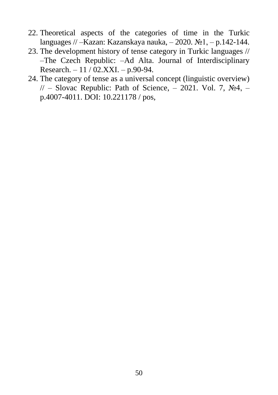- 22. Theoretical aspects of the categories of time in the Turkic languages // –Kazan: Kazanskaya nauka, – 2020. №1, – p.142-144.
- 23. The development history of tense category in Turkic languages // –The Czech Republic: –Ad Alta. Journal of Interdisciplinary Research. – 11 / 02.XXI. – p.90-94.
- 24. The category of tense as a universal concept (linguistic overview)  $//-$  Slovac Republic: Path of Science, – 2021. Vol. 7, No4, – p.4007-4011. DOI: 10.221178 / pos,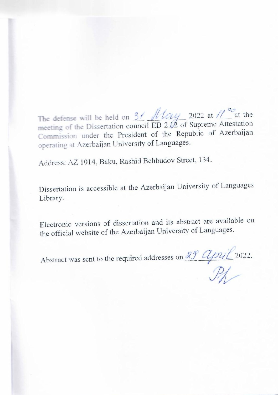The defense will be held on  $3/$  /  $1/\sqrt{c\mu}$  2022 at  $1/\sqrt{c^2}$  at the meeting of the Dissertation council ED 2.12 of Supreme Attestation Commission under the President of the Republic of Azerbaijan operating at Azerbaijan University of Languages.

Address: AZ 1014, Baku, Rashid Behbudov Street, 134.

Dissertation is accessible at the Azerbaijan University of Languages Library.

Electronic versions of dissertation and its abstract are available on the official website of the Azerbaijan University of Languages.

Abstract was sent to the required addresses on  $\frac{29}{\sqrt{}}$   $\frac{2022}{\sqrt{}}$ .